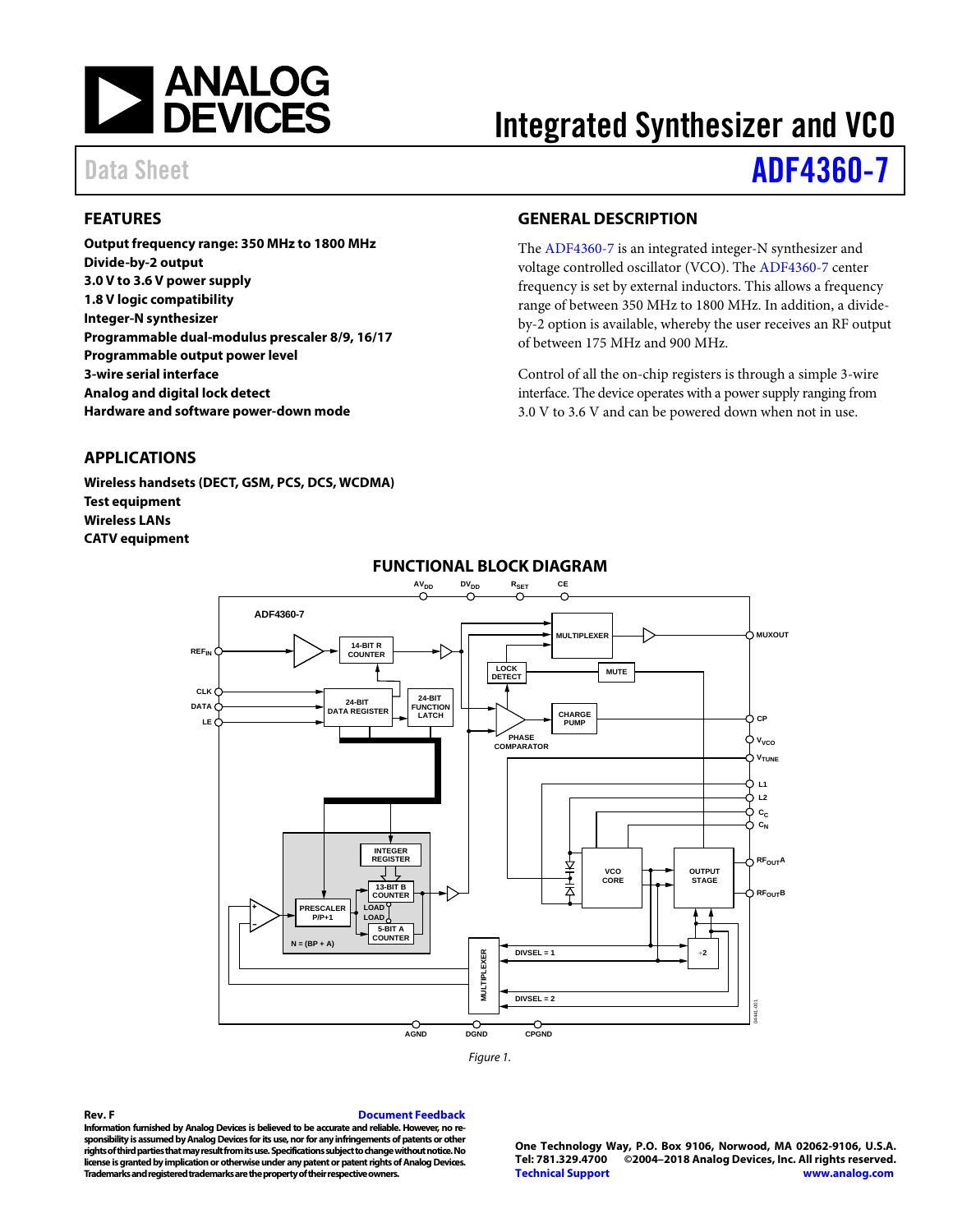

# Integrated Synthesizer and VCO

# Data Sheet **[ADF4360-7](http://www.analog.com/adf4360-7?doc=adf4360-7.pdf)**

# <span id="page-0-0"></span>**FEATURES**

**Output frequency range: 350 MHz to 1800 MHz Divide-by-2 output 3.0 V to 3.6 V power supply 1.8 V logic compatibility Integer-N synthesizer Programmable dual-modulus prescaler 8/9, 16/17 Programmable output power level 3-wire serial interface Analog and digital lock detect Hardware and software power-down mode**

## <span id="page-0-1"></span>**APPLICATIONS**

<span id="page-0-3"></span>**Wireless handsets (DECT, GSM, PCS, DCS, WCDMA) Test equipment Wireless LANs CATV equipment**

## <span id="page-0-2"></span>**GENERAL DESCRIPTION**

The [ADF4360-7](http://www.analog.com/adf4360-7?doc=adf4360-7.pdf) is an integrated integer-N synthesizer and voltage controlled oscillator (VCO). The [ADF4360-7](http://www.analog.com/adf4360-7?doc=adf4360-7.pdf) center frequency is set by external inductors. This allows a frequency range of between 350 MHz to 1800 MHz. In addition, a divideby-2 option is available, whereby the user receives an RF output of between 175 MHz and 900 MHz.

Control of all the on-chip registers is through a simple 3-wire interface. The device operates with a power supply ranging from 3.0 V to 3.6 V and can be powered down when not in use.



# **FUNCTIONAL BLOCK DIAGRAM**

*Figure 1.*

#### **Rev. F [Document Feedback](https://form.analog.com/Form_Pages/feedback/documentfeedback.aspx?doc=AD4360-7.pdf&product=ADF4360-7&rev=F)**

**Information furnished by Analog Devices is believed to be accurate and reliable. However, no responsibility is assumed by Analog Devices for its use, nor for any infringements of patents or other rights of third parties that may result from its use. Specifications subject to change without notice. No license is granted by implication or otherwise under any patent or patent rights of Analog Devices. Trademarks and registered trademarks are the property of their respective owners.**

**One Technology Way, P.O. Box 9106, Norwood, MA 02062-9106, U.S.A. Tel: 781.329.4700 ©2004–2018 Analog Devices, Inc. All rights reserved. [Technical Support](http://www.analog.com/en/content/technical_support_page/fca.html) [www.analog.com](http://www.analog.com/)**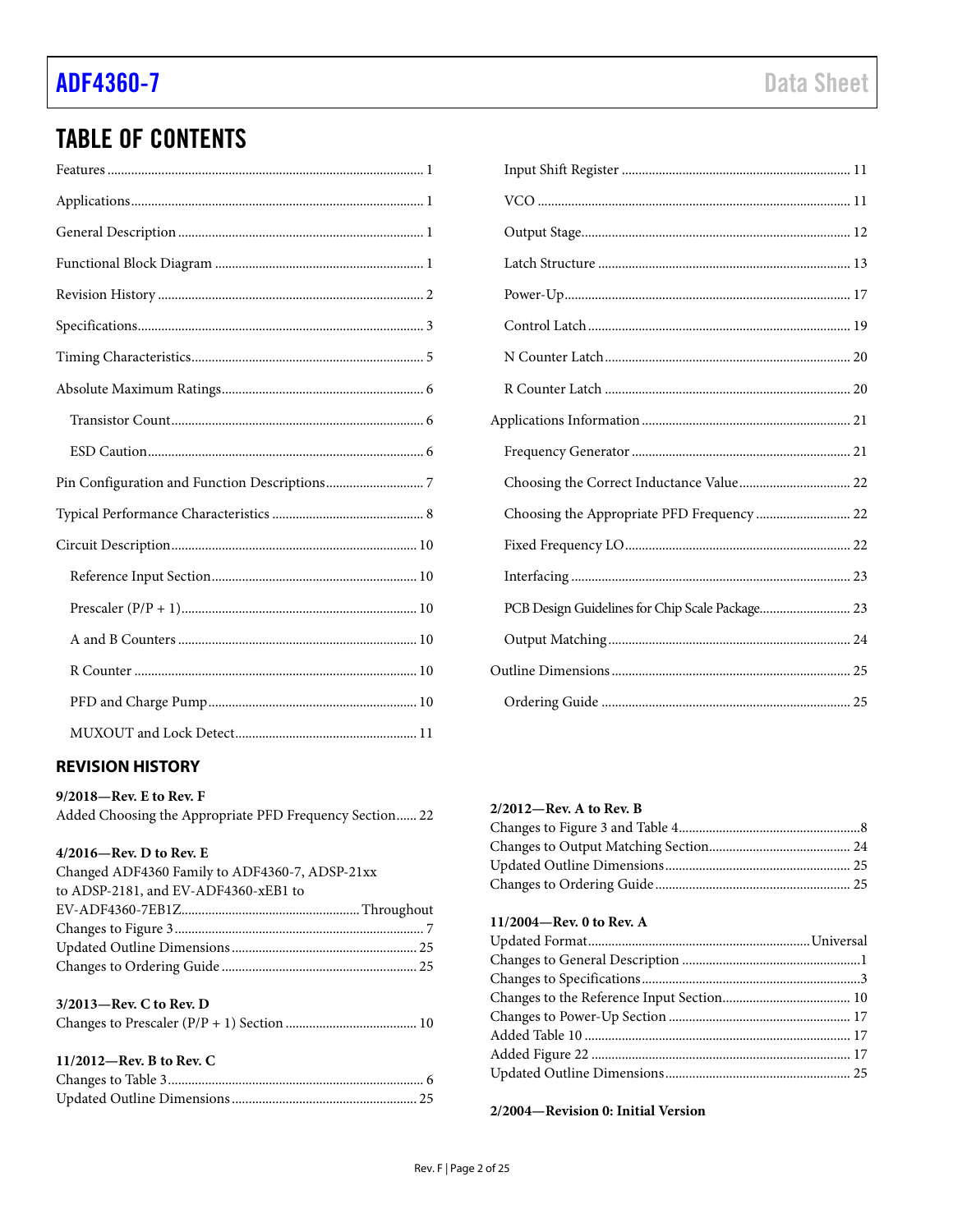# **TABLE OF CONTENTS**

# <span id="page-1-0"></span>**REVISION HISTORY**

9/2018-Rev. E to Rev. F

Added Choosing the Appropriate PFD Frequency Section...... 22

### 4/2016-Rev. D to Rev. E

| Changed ADF4360 Family to ADF4360-7, ADSP-21xx |  |
|------------------------------------------------|--|
| to ADSP-2181, and EV-ADF4360-xEB1 to           |  |
|                                                |  |
|                                                |  |
|                                                |  |
|                                                |  |
|                                                |  |
| 3/2013-Rev. C to Rev. D                        |  |

### 11/2012-Rev. B to Rev. C

| Choosing the Appropriate PFD Frequency  22      |
|-------------------------------------------------|
|                                                 |
|                                                 |
| PCB Design Guidelines for Chip Scale Package 23 |
|                                                 |
|                                                 |
|                                                 |

### 2/2012-Rev. A to Rev. B

# 11/2004-Rev. 0 to Rev. A

2/2004-Revision 0: Initial Version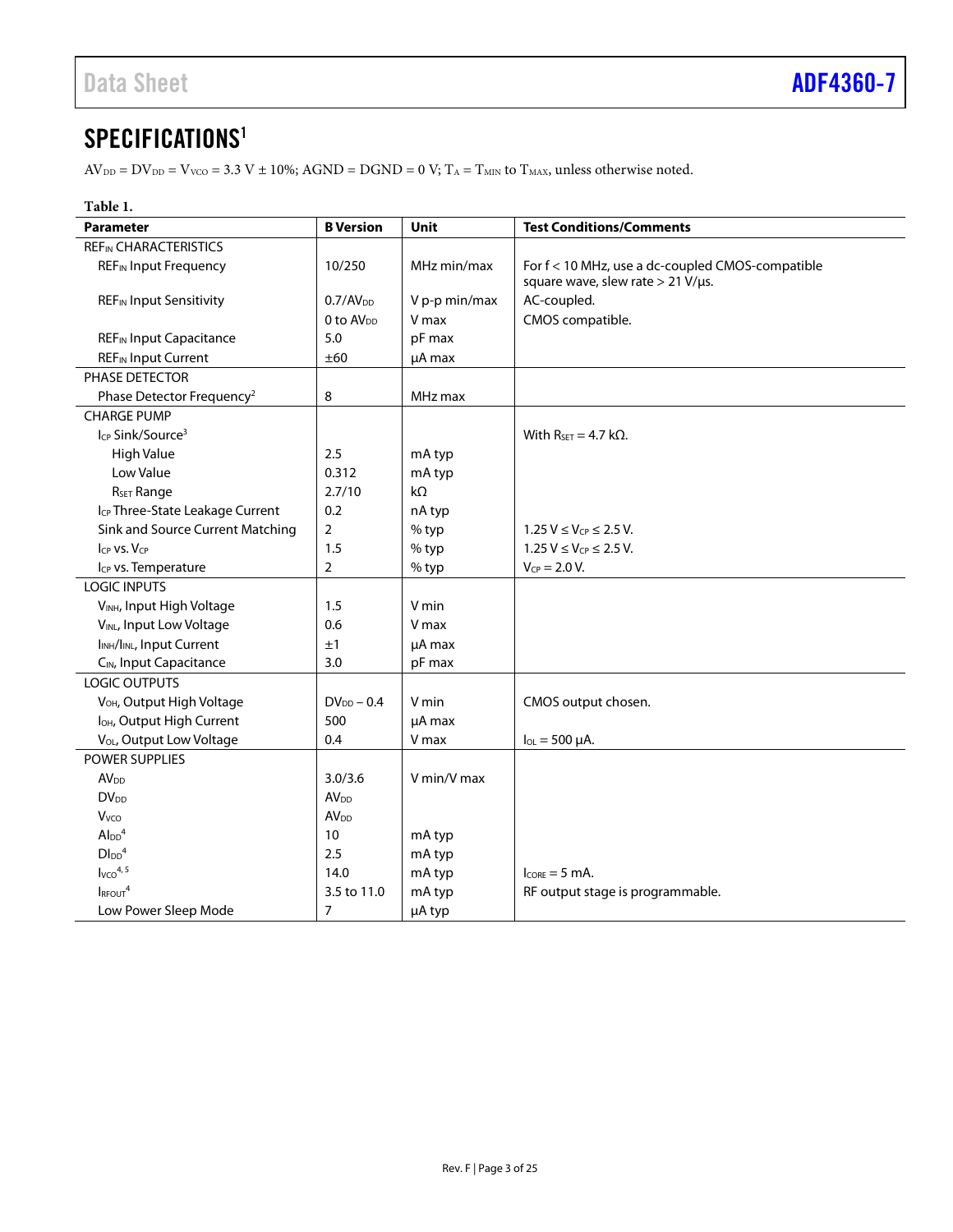# <span id="page-2-0"></span>SPECIFICATIONS<sup>1</sup>

 $\text{AV}_{\text{DD}} = \text{DV}_{\text{DD}} = \text{V}_{\text{VCO}} = 3.3 \text{ V} \pm 10\%; \text{AGND} = \text{DGND} = 0 \text{ V}; \text{T}_\text{A} = \text{T}_{\text{MIN}} \text{ to } \text{T}_{\text{MAX}}$  unless otherwise noted.

| Table 1.                                           |                        |               |                                                                                       |
|----------------------------------------------------|------------------------|---------------|---------------------------------------------------------------------------------------|
| <b>Parameter</b>                                   | <b>B</b> Version       | <b>Unit</b>   | <b>Test Conditions/Comments</b>                                                       |
| <b>REF<sub>IN</sub> CHARACTERISTICS</b>            |                        |               |                                                                                       |
| <b>REF<sub>IN</sub></b> Input Frequency            | 10/250                 | MHz min/max   | For f < 10 MHz, use a dc-coupled CMOS-compatible<br>square wave, slew rate > 21 V/µs. |
| <b>REF<sub>IN</sub></b> Input Sensitivity          | 0.7/AV <sub>DD</sub>   | V p-p min/max | AC-coupled.                                                                           |
|                                                    | $0$ to $AV_{DD}$       | V max         | CMOS compatible.                                                                      |
| <b>REF<sub>IN</sub></b> Input Capacitance          | 5.0                    | pF max        |                                                                                       |
| <b>REF<sub>IN</sub></b> Input Current              | ±60                    | µA max        |                                                                                       |
| PHASE DETECTOR                                     |                        |               |                                                                                       |
| Phase Detector Frequency <sup>2</sup>              | 8                      | MHz max       |                                                                                       |
| <b>CHARGE PUMP</b>                                 |                        |               |                                                                                       |
| Icp Sink/Source <sup>3</sup>                       |                        |               | With $R_{\text{SET}} = 4.7 \text{ k}\Omega$ .                                         |
| <b>High Value</b>                                  | 2.5                    | mA typ        |                                                                                       |
| Low Value                                          | 0.312                  | mA typ        |                                                                                       |
| R <sub>SET</sub> Range                             | 2.7/10                 | kΩ            |                                                                                       |
| Icp Three-State Leakage Current                    | 0.2                    | nA typ        |                                                                                       |
| Sink and Source Current Matching                   | $\overline{2}$         | % typ         | $1.25 V \le V_{CP} \le 2.5 V$ .                                                       |
| $I_{CP}$ vs. $V_{CP}$                              | 1.5                    | % typ         | $1.25 V \le V_{CP} \le 2.5 V$ .                                                       |
| I <sub>CP</sub> vs. Temperature                    | $\overline{2}$         | % typ         | $V_{CP} = 2.0 V$ .                                                                    |
| <b>LOGIC INPUTS</b>                                |                        |               |                                                                                       |
| VINH, Input High Voltage                           | 1.5                    | V min         |                                                                                       |
| VINL, Input Low Voltage                            | 0.6                    | V max         |                                                                                       |
| I <sub>INH</sub> /I <sub>INL</sub> , Input Current | ±1                     | µA max        |                                                                                       |
| C <sub>IN</sub> , Input Capacitance                | 3.0                    | pF max        |                                                                                       |
| LOGIC OUTPUTS                                      |                        |               |                                                                                       |
| V <sub>OH</sub> , Output High Voltage              | $DV_{DD} - 0.4$        | V min         | CMOS output chosen.                                                                   |
| lo <sub>H</sub> , Output High Current              | 500                    | µA max        |                                                                                       |
| V <sub>OL</sub> , Output Low Voltage               | 0.4                    | V max         | $I_{OL} = 500 \mu A$ .                                                                |
| POWER SUPPLIES                                     |                        |               |                                                                                       |
| <b>AV<sub>DD</sub></b>                             | 3.0/3.6                | V min/V max   |                                                                                       |
| <b>DV<sub>DD</sub></b>                             | <b>AV<sub>DD</sub></b> |               |                                                                                       |
| Vvco                                               | AV <sub>DD</sub>       |               |                                                                                       |
| $Al_{DD}$ <sup>4</sup>                             | 10                     | mA typ        |                                                                                       |
| $D\text{I}_{DD}$ <sup>4</sup>                      | 2.5                    | mA typ        |                                                                                       |
| Ivco <sup>4, 5</sup>                               | 14.0                   | mA typ        | $l_{CORF} = 5$ mA.                                                                    |
| IRFOUT <sup>4</sup>                                | 3.5 to 11.0            | mA typ        | RF output stage is programmable.                                                      |
| Low Power Sleep Mode                               | $\overline{7}$         | µA typ        |                                                                                       |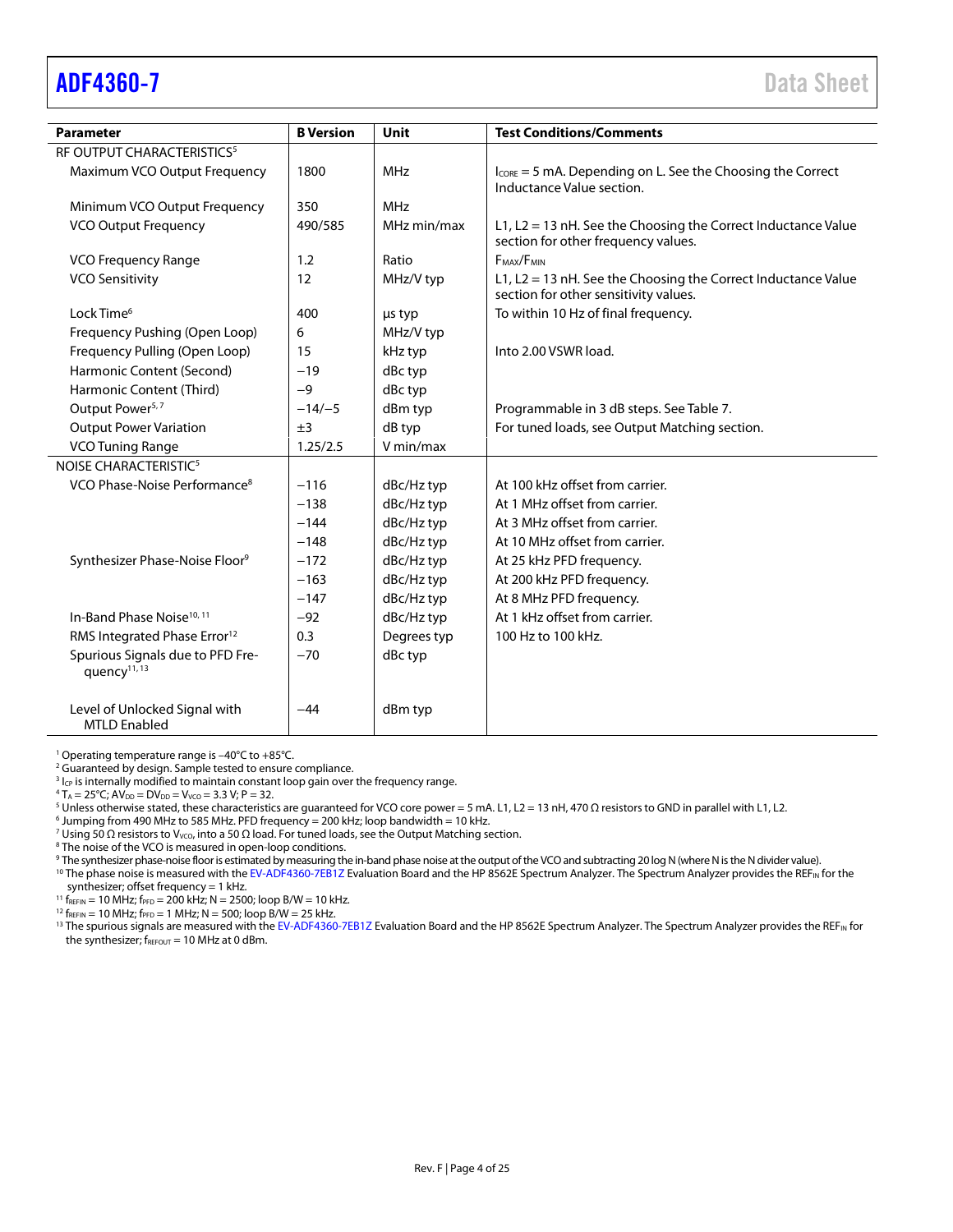<span id="page-3-0"></span>

| <b>Parameter</b>                                             | <b>B</b> Version | <b>Unit</b> | <b>Test Conditions/Comments</b>                                                                        |
|--------------------------------------------------------------|------------------|-------------|--------------------------------------------------------------------------------------------------------|
| RF OUTPUT CHARACTERISTICS <sup>5</sup>                       |                  |             |                                                                                                        |
| Maximum VCO Output Frequency                                 | 1800             | <b>MHz</b>  | $I_{\text{CORE}} = 5$ mA. Depending on L. See the Choosing the Correct<br>Inductance Value section.    |
| Minimum VCO Output Frequency                                 | 350              | <b>MHz</b>  |                                                                                                        |
| <b>VCO Output Frequency</b>                                  | 490/585          | MHz min/max | L1, L2 = 13 nH. See the Choosing the Correct Inductance Value<br>section for other frequency values.   |
| <b>VCO Frequency Range</b>                                   | 1.2              | Ratio       | F <sub>MAX</sub> /F <sub>MIN</sub>                                                                     |
| <b>VCO Sensitivity</b>                                       | 12               | MHz/V typ   | L1, L2 = 13 nH. See the Choosing the Correct Inductance Value<br>section for other sensitivity values. |
| Lock Time <sup>6</sup>                                       | 400              | us typ      | To within 10 Hz of final frequency.                                                                    |
| Frequency Pushing (Open Loop)                                | 6                | MHz/V typ   |                                                                                                        |
| Frequency Pulling (Open Loop)                                | 15               | kHz typ     | Into 2.00 VSWR load.                                                                                   |
| Harmonic Content (Second)                                    | $-19$            | dBc typ     |                                                                                                        |
| Harmonic Content (Third)                                     | $-9$             | dBc typ     |                                                                                                        |
| Output Power <sup>5,7</sup>                                  | $-14/-5$         | dBm typ     | Programmable in 3 dB steps. See Table 7.                                                               |
| <b>Output Power Variation</b>                                | ±3               | dB typ      | For tuned loads, see Output Matching section.                                                          |
| <b>VCO Tuning Range</b>                                      | 1.25/2.5         | V min/max   |                                                                                                        |
| NOISE CHARACTERISTIC <sup>5</sup>                            |                  |             |                                                                                                        |
| VCO Phase-Noise Performance <sup>8</sup>                     | $-116$           | dBc/Hz typ  | At 100 kHz offset from carrier.                                                                        |
|                                                              | $-138$           | dBc/Hz typ  | At 1 MHz offset from carrier.                                                                          |
|                                                              | $-144$           | dBc/Hz typ  | At 3 MHz offset from carrier.                                                                          |
|                                                              | $-148$           | dBc/Hz typ  | At 10 MHz offset from carrier.                                                                         |
| Synthesizer Phase-Noise Floor <sup>9</sup>                   | $-172$           | dBc/Hz typ  | At 25 kHz PFD frequency.                                                                               |
|                                                              | $-163$           | dBc/Hz typ  | At 200 kHz PFD frequency.                                                                              |
|                                                              | $-147$           | dBc/Hz typ  | At 8 MHz PFD frequency.                                                                                |
| In-Band Phase Noise <sup>10, 11</sup>                        | $-92$            | dBc/Hz typ  | At 1 kHz offset from carrier.                                                                          |
| RMS Integrated Phase Error <sup>12</sup>                     | 0.3              | Degrees typ | 100 Hz to 100 kHz.                                                                                     |
| Spurious Signals due to PFD Fre-<br>quency <sup>11, 13</sup> | $-70$            | dBc typ     |                                                                                                        |
| Level of Unlocked Signal with<br><b>MTLD Enabled</b>         | -44              | dBm typ     |                                                                                                        |

<sup>1</sup> Operating temperature range is –40°C to +85°C.

<sup>2</sup> Guaranteed by design. Sample tested to ensure compliance.

 $3$  I<sub>CP</sub> is internally modified to maintain constant loop gain over the frequency range.

 $4 T_A = 25^{\circ}$ C; AV<sub>DD</sub> = DV<sub>DD</sub> = V<sub>VCO</sub> = 3.3 V; P = 32.

<sup>5</sup> Unless otherwise stated, these characteristics are guaranteed for VCO core power = 5 mA. L1, L2 = 13 nH, 470 Ω resistors to GND in parallel with L1, L2.

 $6$  Jumping from 490 MHz to 585 MHz. PFD frequency = 200 kHz; loop bandwidth = 10 kHz.

<sup>7</sup> Using 50 Ω resistors to V<sub>VCO</sub>, into a 50 Ω load. For tuned loads, see th[e Output Matching](#page-23-0) section.

<sup>8</sup> The noise of the VCO is measured in open-loop conditions.

<sup>9</sup> The synthesizer phase-noise floor is estimated by measuring the in-band phase noise at the output of the VCO and subtracting 20 log N(where Nis the N divider value).

<sup>10</sup> The phase noise is measured with th[e EV-ADF4360-7EB1Z](http://www.analog.com/adf4360-7?doc=adf4360-7.pdf) Evaluation Board and the HP 8562E Spectrum Analyzer. The Spectrum Analyzer provides the REF<sub>IN</sub> for the synthesizer; offset frequency = 1 kHz.

<sup>11</sup> f<sub>REFIN</sub> = 10 MHz; f<sub>PFD</sub> = 200 kHz; N = 2500; loop B/W = 10 kHz.

 $12 f_{REFIN} = 10 MHz$ ;  $f_{PFD} = 1 MHz$ ;  $N = 500$ ; loop B/W = 25 kHz.

<sup>13</sup> The spurious signals are measured with th[e EV-ADF4360-7EB1Z](http://www.analog.com/adf4360-7?doc=adf4360-7.pdf) Evaluation Board and the HP 8562E Spectrum Analyzer. The Spectrum Analyzer provides the REF<sub>IN</sub> for the synthesizer;  $f_{\text{REFOUT}} = 10$  MHz at 0 dBm.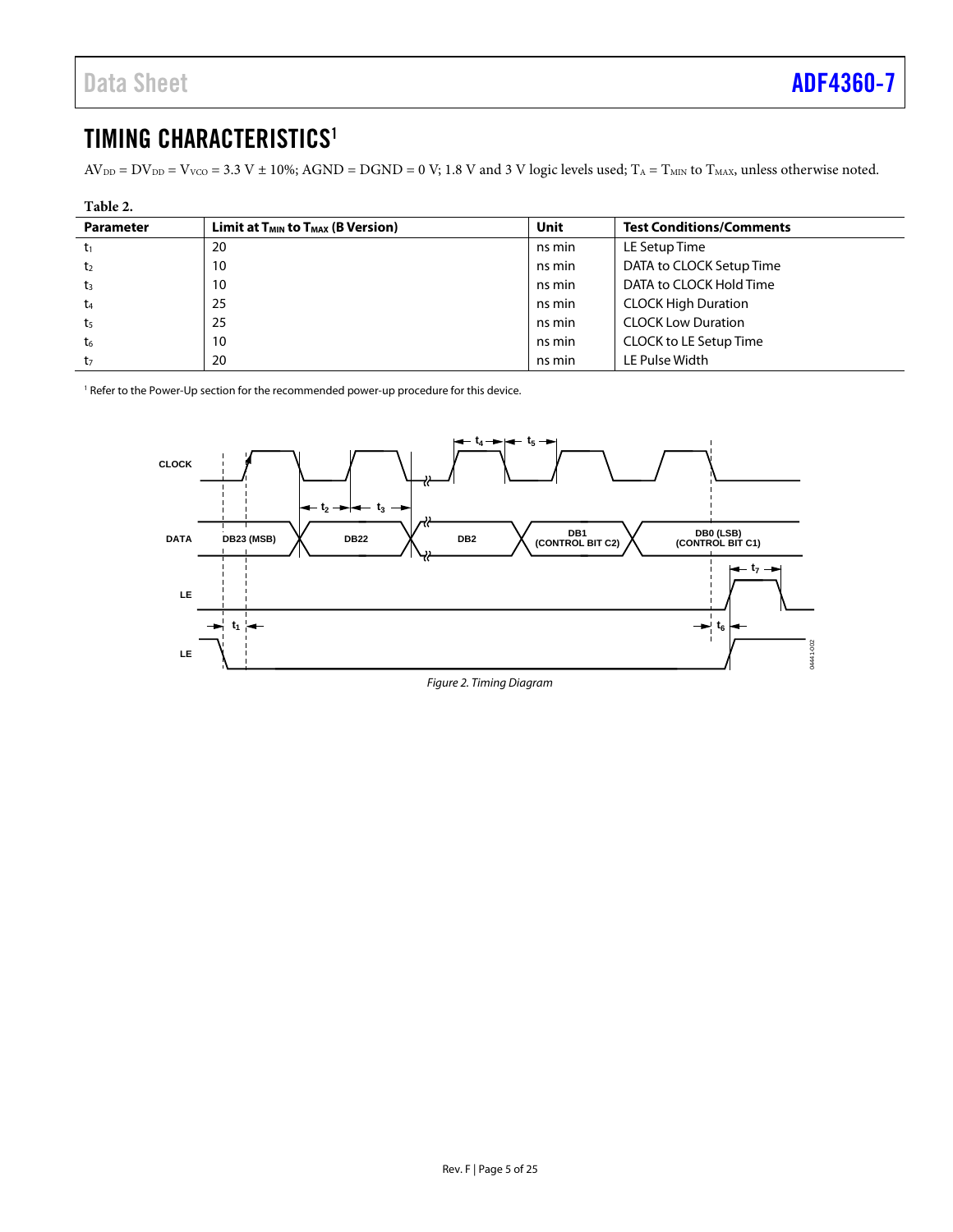# <span id="page-4-0"></span>TIMING CHARACTERISTICS<sup>1</sup>

 $AV_{DD} = DV_{DD} = V_{VCO} = 3.3 V \pm 10\%$ ; AGND = DGND = 0 V; 1.8 V and 3 V logic levels used; T<sub>A</sub> = T<sub>MIN</sub> to T<sub>MAX</sub>, unless otherwise noted.

| Table 2.         |                                             |        |                                 |  |
|------------------|---------------------------------------------|--------|---------------------------------|--|
| <b>Parameter</b> | Limit at $T_{MIN}$ to $T_{MAX}$ (B Version) | Unit   | <b>Test Conditions/Comments</b> |  |
| t1               | 20                                          | ns min | LE Setup Time                   |  |
| t2               | 10                                          | ns min | DATA to CLOCK Setup Time        |  |
| $t_3$            | 10                                          | ns min | DATA to CLOCK Hold Time         |  |
| t4               | 25                                          | ns min | <b>CLOCK High Duration</b>      |  |
| t5               | 25                                          | ns min | <b>CLOCK Low Duration</b>       |  |
| t6               | 10                                          | ns min | CLOCK to LE Setup Time          |  |
| t7               | 20                                          | ns min | LE Pulse Width                  |  |

<sup>1</sup> Refer to th[e Power-Up s](#page-16-0)ection for the recommended power-up procedure for this device.

<span id="page-4-1"></span>

Figure 2. Timing Diagram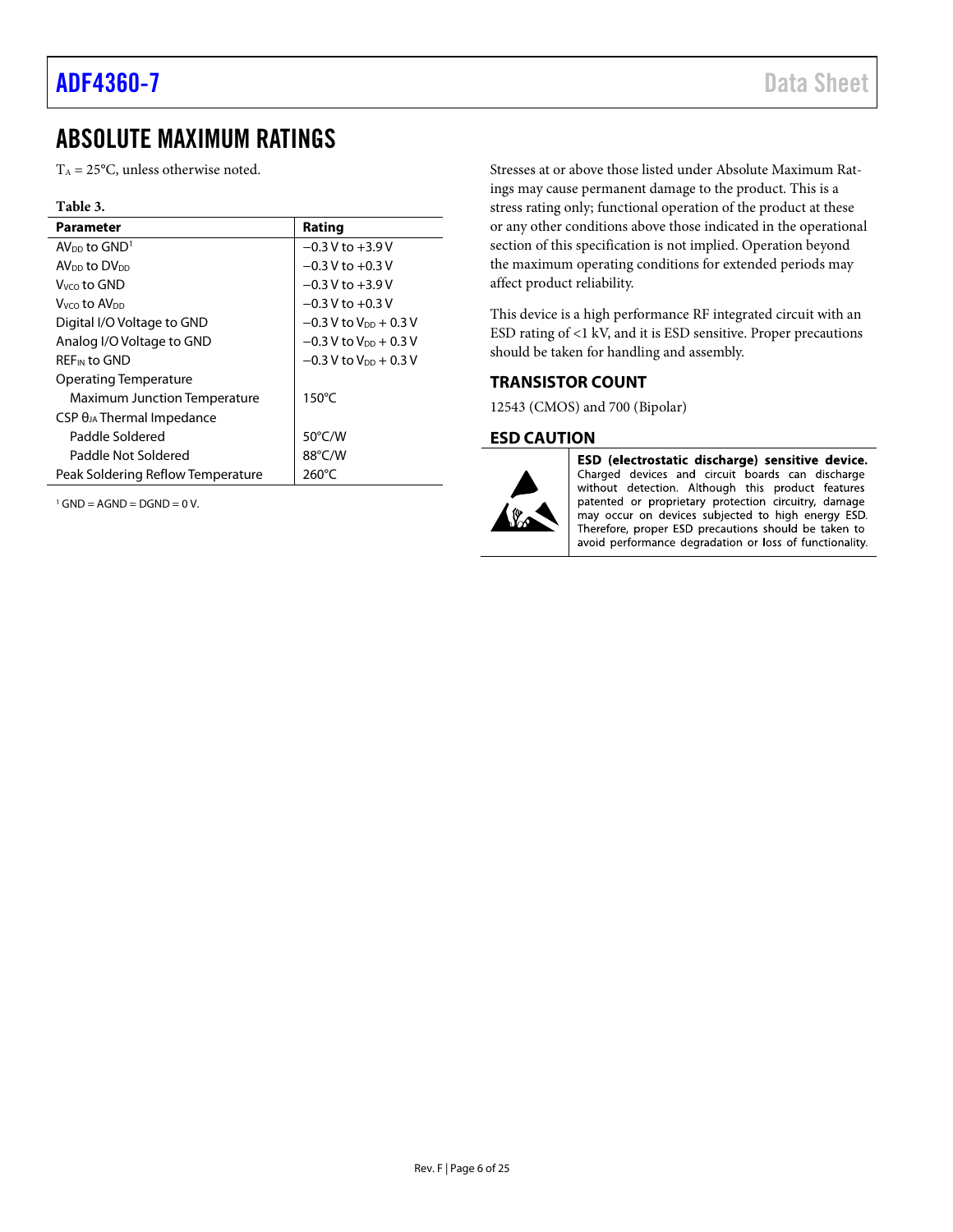# <span id="page-5-0"></span>ABSOLUTE MAXIMUM RATINGS

 $T_A = 25$ °C, unless otherwise noted.

#### **Table 3.**

| <b>Parameter</b>                     | Rating                              |
|--------------------------------------|-------------------------------------|
| $AVDD$ to $GND1$                     | $-0.3$ V to $+3.9$ V                |
| AV <sub>DD</sub> to DV <sub>DD</sub> | $-0.3$ V to $+0.3$ V                |
| $V_{VCD}$ to GND                     | $-0.3$ V to $+3.9$ V                |
| Vvco t <b>o AV</b> on                | $-0.3$ V to $+0.3$ V                |
| Digital I/O Voltage to GND           | $-0.3$ V to $V_{DD}$ + 0.3 V        |
| Analog I/O Voltage to GND            | $-0.3$ V to V <sub>DD</sub> + 0.3 V |
| REF <sub>IN</sub> to GND             | $-0.3$ V to V <sub>DD</sub> + 0.3 V |
| Operating Temperature                |                                     |
| Maximum Junction Temperature         | $150^{\circ}$ C                     |
| $CSP \theta_{JA}$ Thermal Impedance  |                                     |
| Paddle Soldered                      | $50^{\circ}$ C/W                    |
| Paddle Not Soldered                  | 88°C/W                              |
| Peak Soldering Reflow Temperature    | $260^{\circ}$ C                     |

 $1$  GND = AGND = DGND = 0 V.

Stresses at or above those listed under Absolute Maximum Ratings may cause permanent damage to the product. This is a stress rating only; functional operation of the product at these or any other conditions above those indicated in the operational section of this specification is not implied. Operation beyond the maximum operating conditions for extended periods may affect product reliability.

This device is a high performance RF integrated circuit with an ESD rating of <1 kV, and it is ESD sensitive. Proper precautions should be taken for handling and assembly.

#### <span id="page-5-1"></span>**TRANSISTOR COUNT**

12543 (CMOS) and 700 (Bipolar)

#### <span id="page-5-2"></span>**ESD CAUTION**



ESD (electrostatic discharge) sensitive device. Charged devices and circuit boards can discharge without detection. Although this product features patented or proprietary protection circuitry, damage may occur on devices subjected to high energy ESD. Therefore, proper ESD precautions should be taken to avoid performance degradation or loss of functionality.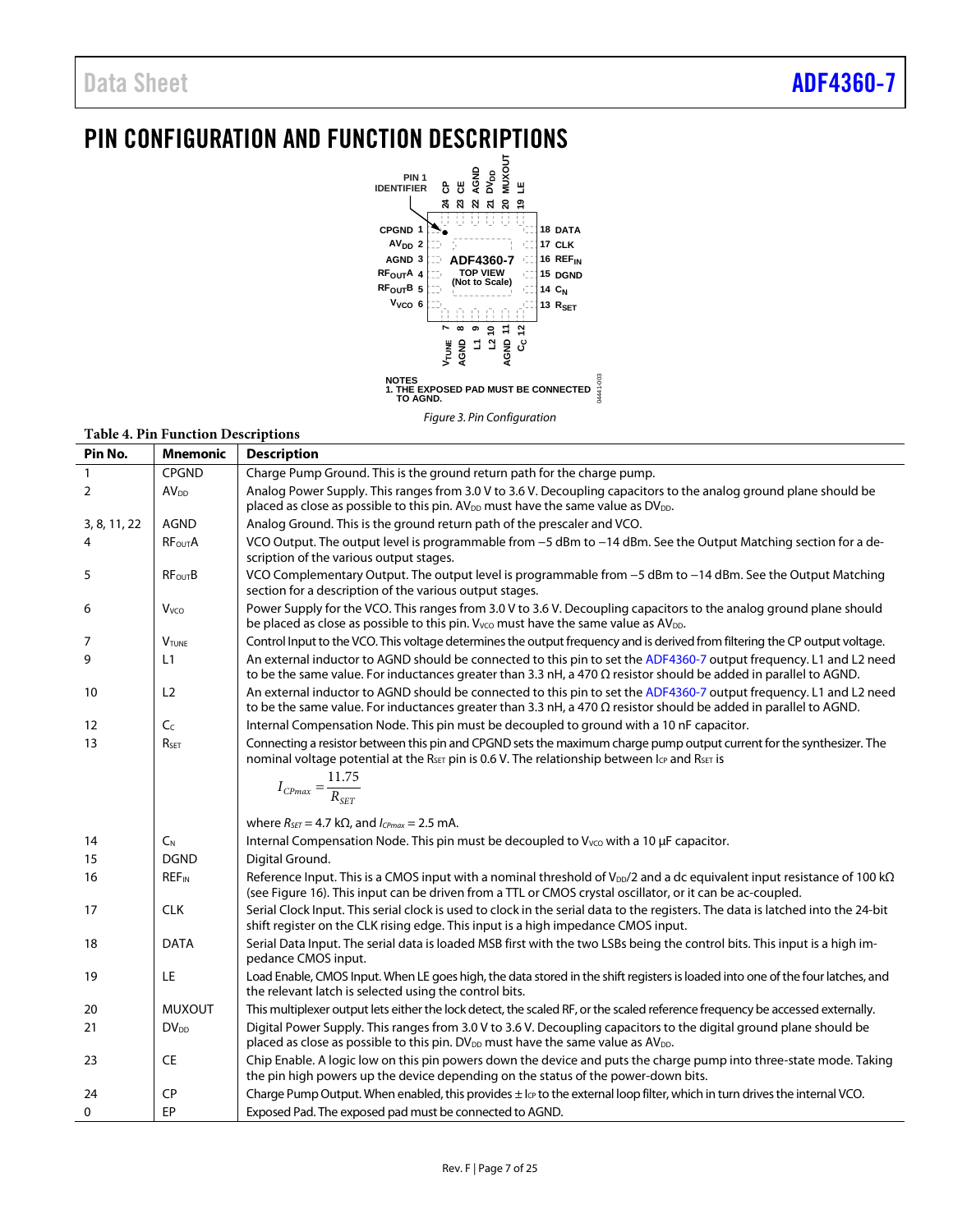# <span id="page-6-0"></span>PIN CONFIGURATION AND FUNCTION DESCRIPTIONS



#### **Table 4. Pin Function Descriptions**

| Pin No.      | <b>Mnemonic</b>         | <b>Description</b>                                                                                                                                                                                                                                        |
|--------------|-------------------------|-----------------------------------------------------------------------------------------------------------------------------------------------------------------------------------------------------------------------------------------------------------|
| 1            | <b>CPGND</b>            | Charge Pump Ground. This is the ground return path for the charge pump.                                                                                                                                                                                   |
| 2            | AV <sub>DD</sub>        | Analog Power Supply. This ranges from 3.0 V to 3.6 V. Decoupling capacitors to the analog ground plane should be<br>placed as close as possible to this pin. AV <sub>DD</sub> must have the same value as DV <sub>DD</sub> .                              |
| 3, 8, 11, 22 | <b>AGND</b>             | Analog Ground. This is the ground return path of the prescaler and VCO.                                                                                                                                                                                   |
| 4            | RF <sub>OUT</sub> A     | VCO Output. The output level is programmable from -5 dBm to -14 dBm. See the Output Matching section for a de-<br>scription of the various output stages.                                                                                                 |
| 5            | <b>RFourB</b>           | VCO Complementary Output. The output level is programmable from -5 dBm to -14 dBm. See the Output Matching<br>section for a description of the various output stages.                                                                                     |
| 6            | V <sub>vco</sub>        | Power Supply for the VCO. This ranges from 3.0 V to 3.6 V. Decoupling capacitors to the analog ground plane should<br>be placed as close as possible to this pin. V <sub>VCO</sub> must have the same value as AV <sub>DD</sub> .                         |
| 7            | <b>VTUNE</b>            | Control Input to the VCO. This voltage determines the output frequency and is derived from filtering the CP output voltage.                                                                                                                               |
| 9            | L1                      | An external inductor to AGND should be connected to this pin to set the ADF4360-7 output frequency. L1 and L2 need<br>to be the same value. For inductances greater than 3.3 nH, a 470 $\Omega$ resistor should be added in parallel to AGND.             |
| 10           | L2                      | An external inductor to AGND should be connected to this pin to set the ADF4360-7 output frequency. L1 and L2 need<br>to be the same value. For inductances greater than 3.3 nH, a 470 $\Omega$ resistor should be added in parallel to AGND.             |
| 12           | C <sub>c</sub>          | Internal Compensation Node. This pin must be decoupled to ground with a 10 nF capacitor.                                                                                                                                                                  |
| 13           | R <sub>SET</sub>        | Connecting a resistor between this pin and CPGND sets the maximum charge pump output current for the synthesizer. The<br>nominal voltage potential at the R <sub>SET</sub> pin is 0.6 V. The relationship between I <sub>CP</sub> and R <sub>SET</sub> is |
|              |                         | $I_{CPmax} = \frac{11.75}{R_{SET}}$                                                                                                                                                                                                                       |
|              |                         | where $R_{\text{SET}} = 4.7 \text{ k}\Omega$ , and $I_{\text{CPmax}} = 2.5 \text{ mA}$ .                                                                                                                                                                  |
| 14           | $C_{N}$                 | Internal Compensation Node. This pin must be decoupled to V <sub>vco</sub> with a 10 µF capacitor.                                                                                                                                                        |
| 15           | <b>DGND</b>             | Digital Ground.                                                                                                                                                                                                                                           |
| 16           | <b>REF<sub>IN</sub></b> | Reference Input. This is a CMOS input with a nominal threshold of $V_{\text{DD}}/2$ and a dc equivalent input resistance of 100 k $\Omega$<br>(see Figure 16). This input can be driven from a TTL or CMOS crystal oscillator, or it can be ac-coupled.   |
| 17           | <b>CLK</b>              | Serial Clock Input. This serial clock is used to clock in the serial data to the registers. The data is latched into the 24-bit<br>shift register on the CLK rising edge. This input is a high impedance CMOS input.                                      |
| 18           | <b>DATA</b>             | Serial Data Input. The serial data is loaded MSB first with the two LSBs being the control bits. This input is a high im-<br>pedance CMOS input.                                                                                                          |
| 19           | LE                      | Load Enable, CMOS Input. When LE goes high, the data stored in the shift registers is loaded into one of the four latches, and<br>the relevant latch is selected using the control bits.                                                                  |
| 20           | <b>MUXOUT</b>           | This multiplexer output lets either the lock detect, the scaled RF, or the scaled reference frequency be accessed externally.                                                                                                                             |
| 21           | $DV_{DD}$               | Digital Power Supply. This ranges from 3.0 V to 3.6 V. Decoupling capacitors to the digital ground plane should be<br>placed as close as possible to this pin. DV <sub>DD</sub> must have the same value as AV <sub>DD</sub> .                            |
| 23           | CE                      | Chip Enable. A logic low on this pin powers down the device and puts the charge pump into three-state mode. Taking<br>the pin high powers up the device depending on the status of the power-down bits.                                                   |
| 24           | <b>CP</b>               | Charge Pump Output. When enabled, this provides $\pm 1_{CP}$ to the external loop filter, which in turn drives the internal VCO.                                                                                                                          |
| 0            | EP                      | Exposed Pad. The exposed pad must be connected to AGND.                                                                                                                                                                                                   |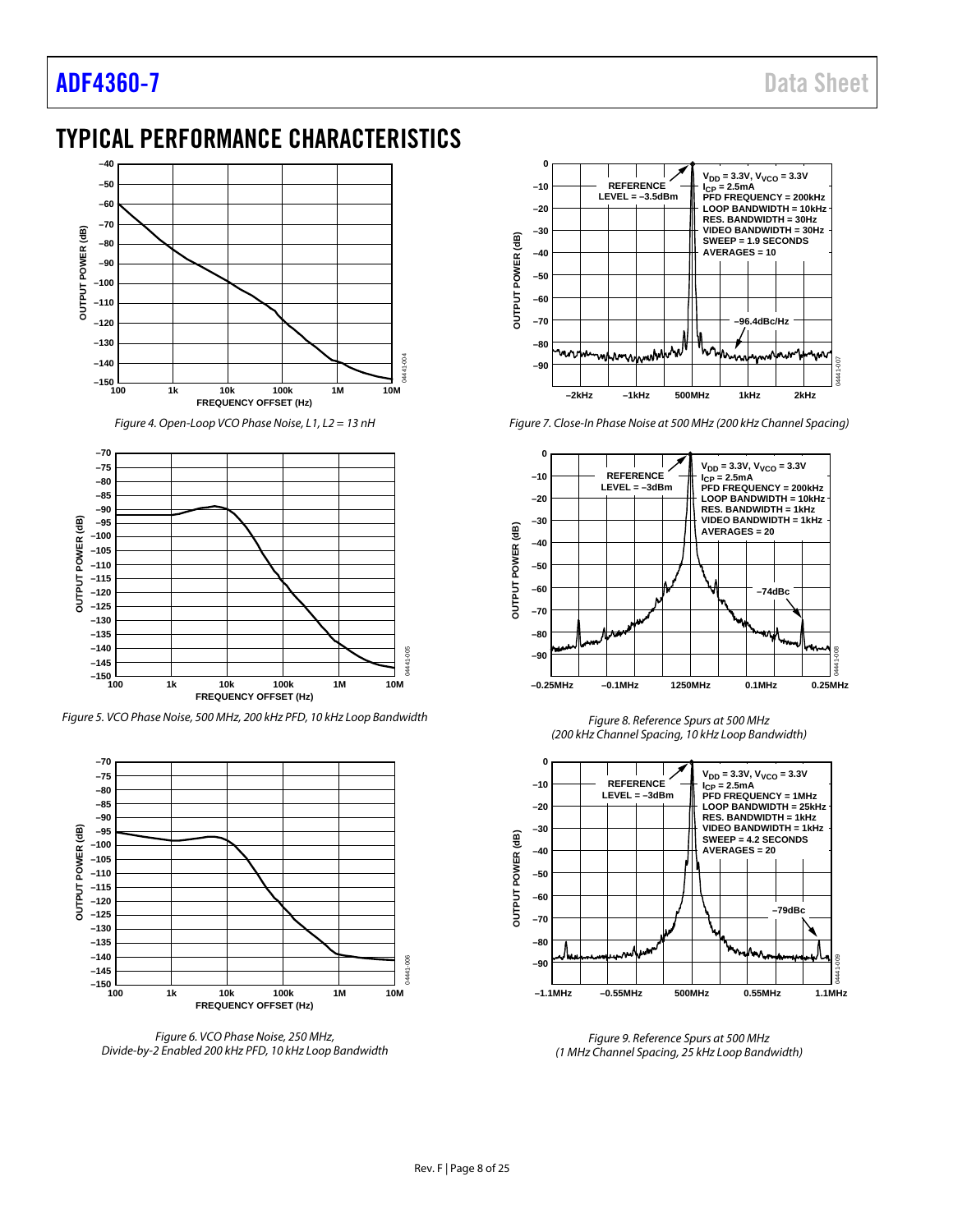# <span id="page-7-0"></span>TYPICAL PERFORMANCE CHARACTERISTICS



*Figure 4. Open-Loop VCO Phase Noise, L1, L2 = 13 nH* 



*Figure 5. VCO Phase Noise, 500 MHz, 200 kHz PFD, 10 kHz Loop Bandwidth*



*Figure 6. VCO Phase Noise, 250 MHz, Divide-by-2 Enabled 200 kHz PFD, 10 kHz Loop Bandwidth*



*Figure 7. Close-In Phase Noise at 500 MHz (200 kHz Channel Spacing)*



*Figure 8. Reference Spurs at 500 MHz (200 kHz Channel Spacing, 10 kHz Loop Bandwidth)*



*Figure 9. Reference Spurs at 500 MHz (1 MHz Channel Spacing, 25 kHz Loop Bandwidth)*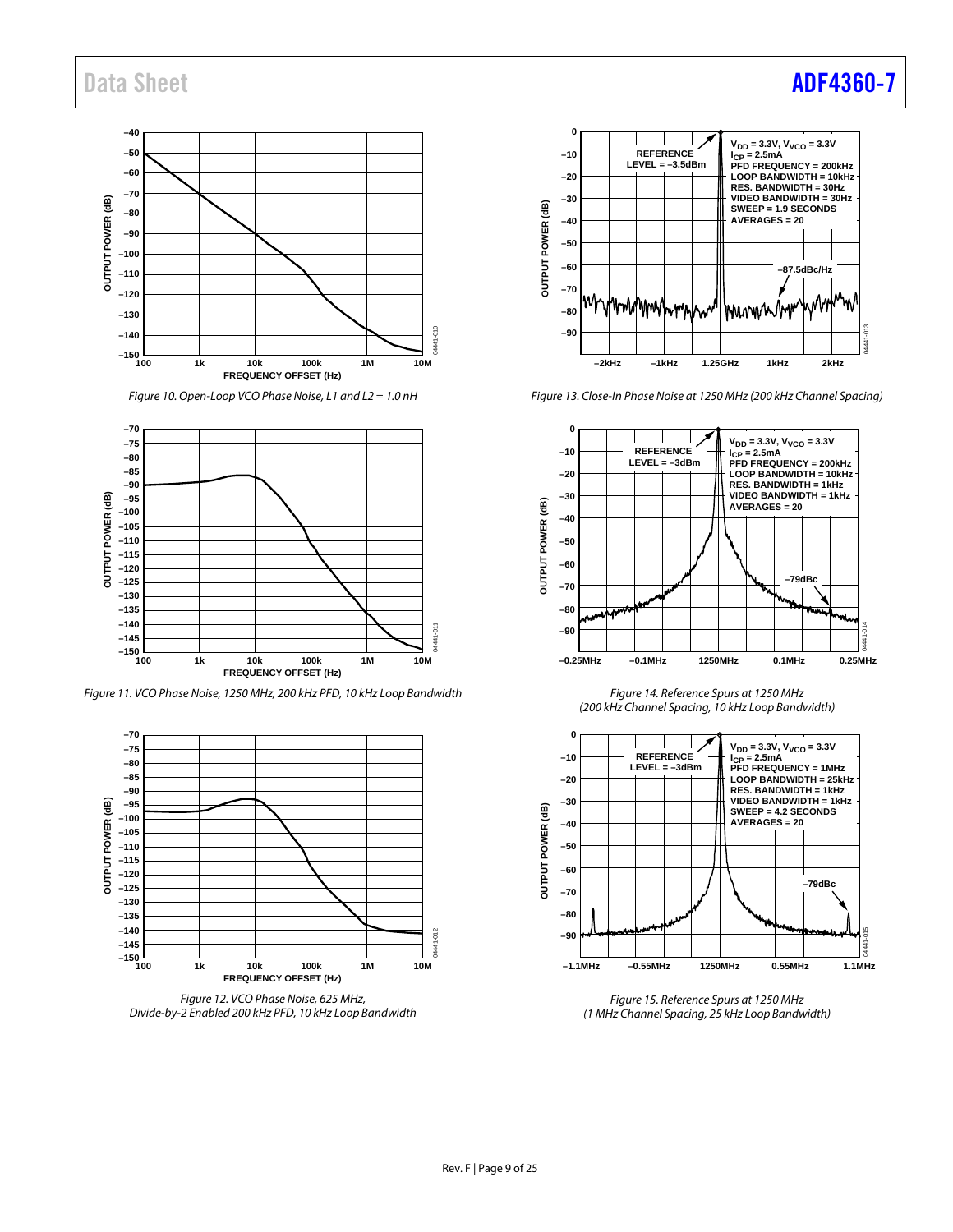# Data Sheet **[ADF4360-7](http://www.analog.com/adf4360-7?doc=adf4360-7.pdf)**



*Figure 10. Open-Loop VCO Phase Noise, L1 and L2 = 1.0 nH*



*Figure 11. VCO Phase Noise, 1250 MHz, 200 kHz PFD, 10 kHz Loop Bandwidth*



*Figure 12. VCO Phase Noise, 625 MHz, Divide-by-2 Enabled 200 kHz PFD, 10 kHz Loop Bandwidth*



*Figure 13. Close-In Phase Noise at 1250 MHz (200 kHz Channel Spacing)*



*Figure 14. Reference Spurs at 1250 MHz (200 kHz Channel Spacing, 10 kHz Loop Bandwidth)*



*Figure 15. Reference Spurs at 1250 MHz (1 MHz Channel Spacing, 25 kHz Loop Bandwidth)*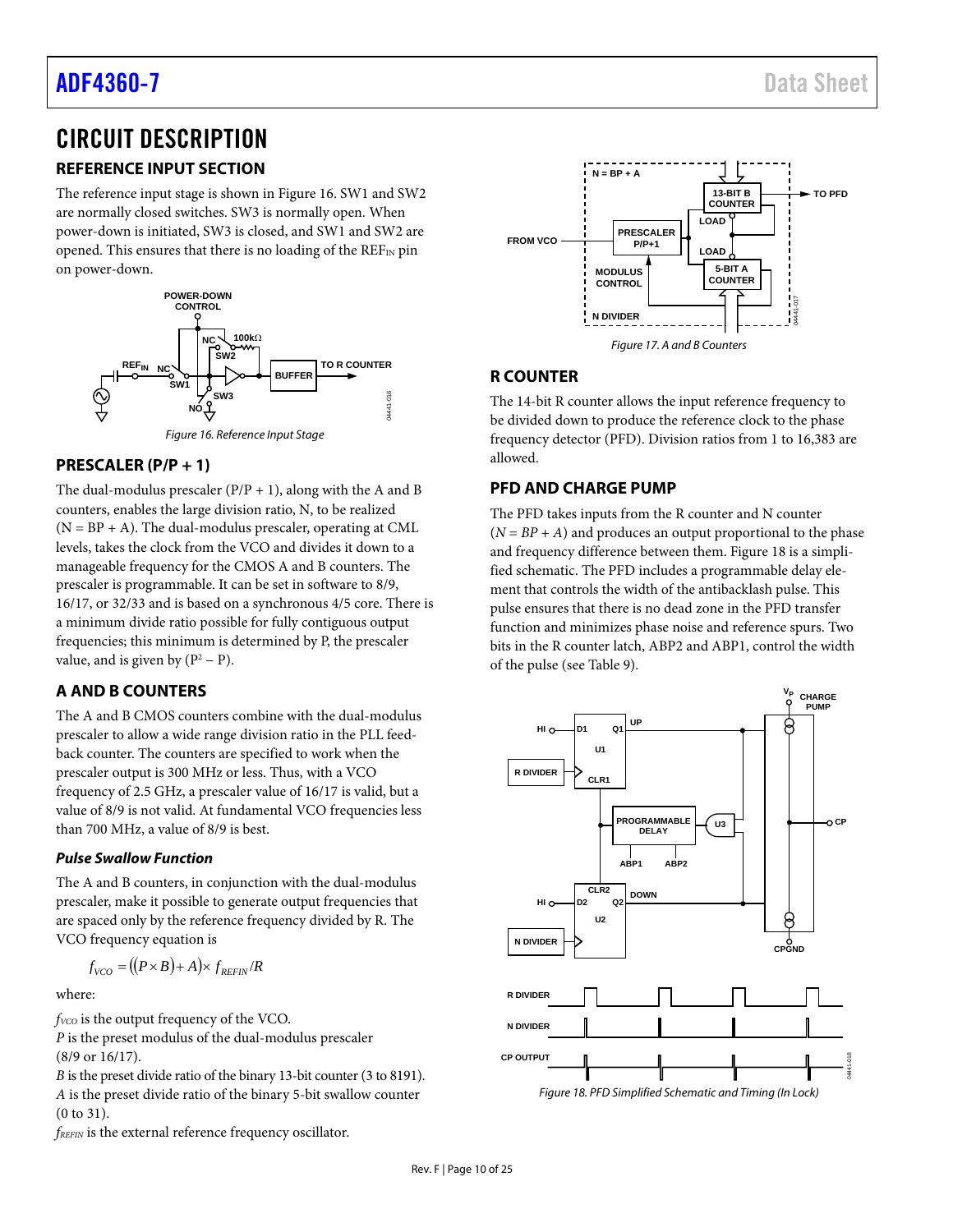# <span id="page-9-0"></span>CIRCUIT DESCRIPTION

# <span id="page-9-1"></span>**REFERENCE INPUT SECTION**

The reference input stage is shown i[n Figure 16.](#page-9-6) SW1 and SW2 are normally closed switches. SW3 is normally open. When power-down is initiated, SW3 is closed, and SW1 and SW2 are opened. This ensures that there is no loading of the  $REF_{IN}$  pin on power-down.



# <span id="page-9-6"></span><span id="page-9-2"></span>**PRESCALER (P/P + 1)**

The dual-modulus prescaler  $(P/P + 1)$ , along with the A and B counters, enables the large division ratio, N, to be realized  $(N = BP + A)$ . The dual-modulus prescaler, operating at CML levels, takes the clock from the VCO and divides it down to a manageable frequency for the CMOS A and B counters. The prescaler is programmable. It can be set in software to 8/9, 16/17, or 32/33 and is based on a synchronous 4/5 core. There is a minimum divide ratio possible for fully contiguous output frequencies; this minimum is determined by P, the prescaler value, and is given by  $(P^2 - P)$ .

# <span id="page-9-3"></span>**A AND B COUNTERS**

The A and B CMOS counters combine with the dual-modulus prescaler to allow a wide range division ratio in the PLL feedback counter. The counters are specified to work when the prescaler output is 300 MHz or less. Thus, with a VCO frequency of 2.5 GHz, a prescaler value of 16/17 is valid, but a value of 8/9 is not valid. At fundamental VCO frequencies less than 700 MHz, a value of 8/9 is best.

## **Pulse Swallow Function**

The A and B counters, in conjunction with the dual-modulus prescaler, make it possible to generate output frequencies that are spaced only by the reference frequency divided by R. The VCO frequency equation is

$$
f_{VCO} = ((P \times B) + A) \times f_{REFIN}/R
$$

where:

*fvco* is the output frequency of the VCO.

*P* is the preset modulus of the dual-modulus prescaler (8/9 or 16/17).

*B* is the preset divide ratio of the binary 13-bit counter (3 to 8191). *A* is the preset divide ratio of the binary 5-bit swallow counter (0 to 31).

*fREFIN* is the external reference frequency oscillator.



# <span id="page-9-4"></span>**R COUNTER**

The 14-bit R counter allows the input reference frequency to be divided down to produce the reference clock to the phase frequency detector (PFD). Division ratios from 1 to 16,383 are allowed.

# <span id="page-9-5"></span>**PFD AND CHARGE PUMP**

The PFD takes inputs from the R counter and N counter  $(N = BP + A)$  and produces an output proportional to the phase and frequency difference between them[. Figure 18](#page-9-7) is a simplified schematic. The PFD includes a programmable delay element that controls the width of the antibacklash pulse. This pulse ensures that there is no dead zone in the PFD transfer function and minimizes phase noise and reference spurs. Two bits in the R counter latch, ABP2 and ABP1, control the width of the pulse (see [Table 9\)](#page-15-0).

<span id="page-9-7"></span>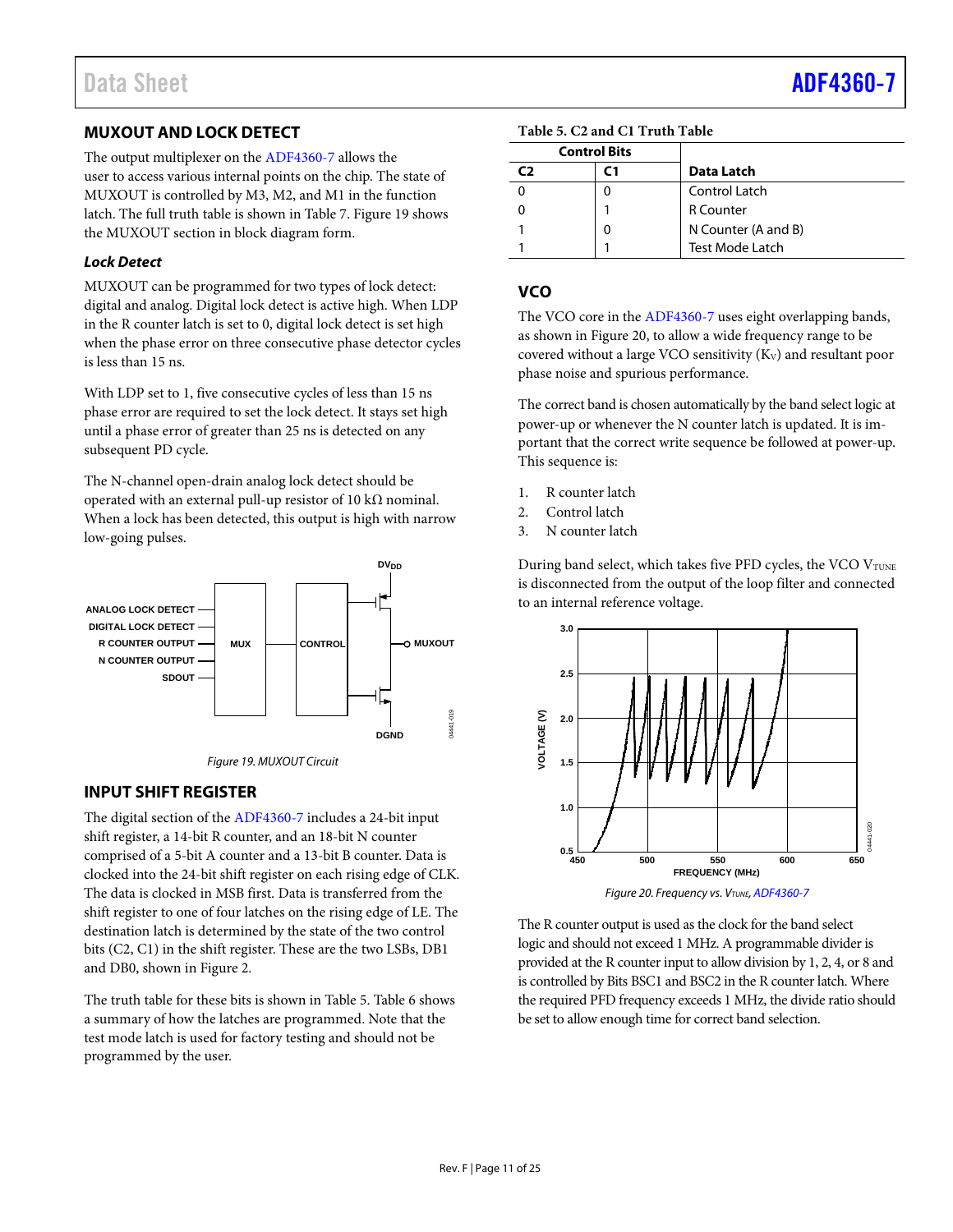# <span id="page-10-0"></span>**MUXOUT AND LOCK DETECT**

The output multiplexer on th[e ADF4360-7](http://www.analog.com/adf4360-7?doc=adf4360-7.pdf) allows the user to access various internal points on the chip. The state of MUXOUT is controlled by M3, M2, and M1 in the function latch. The full truth table is shown in [Table 7.](#page-13-0) [Figure 19](#page-10-3) shows the MUXOUT section in block diagram form.

### *Lock Detect*

MUXOUT can be programmed for two types of lock detect: digital and analog. Digital lock detect is active high. When LDP in the R counter latch is set to 0, digital lock detect is set high when the phase error on three consecutive phase detector cycles is less than 15 ns.

With LDP set to 1, five consecutive cycles of less than 15 ns phase error are required to set the lock detect. It stays set high until a phase error of greater than 25 ns is detected on any subsequent PD cycle.

The N-channel open-drain analog lock detect should be operated with an external pull-up resistor of 10 kΩ nominal. When a lock has been detected, this output is high with narrow low-going pulses.



*Figure 19. MUXOUT Circuit*

## <span id="page-10-3"></span><span id="page-10-1"></span>**INPUT SHIFT REGISTER**

The digital section of th[e ADF4360-7](http://www.analog.com/adf4360-7?doc=adf4360-7.pdf) includes a 24-bit input shift register, a 14-bit R counter, and an 18-bit N counter comprised of a 5-bit A counter and a 13-bit B counter. Data is clocked into the 24-bit shift register on each rising edge of CLK. The data is clocked in MSB first. Data is transferred from the shift register to one of four latches on the rising edge of LE. The destination latch is determined by the state of the two control bits (C2, C1) in the shift register. These are the two LSBs, DB1 and DB0, shown i[n Figure 2.](#page-4-1)

The truth table for these bits is shown in [Table 5.](#page-10-4) [Table 6](#page-12-1) shows a summary of how the latches are programmed. Note that the test mode latch is used for factory testing and should not be programmed by the user.

<span id="page-10-4"></span>

|                | <b>Control Bits</b> |                        |
|----------------|---------------------|------------------------|
| C <sub>2</sub> |                     | Data Latch             |
|                | 0                   | Control Latch          |
|                |                     | <b>R</b> Counter       |
|                | 0                   | N Counter (A and B)    |
|                |                     | <b>Test Mode Latch</b> |

# <span id="page-10-2"></span>**VCO**

The VCO core in th[e ADF4360-7](http://www.analog.com/adf4360-7?doc=adf4360-7.pdf) uses eight overlapping bands, as shown i[n Figure 20,](#page-10-5) to allow a wide frequency range to be covered without a large VCO sensitivity  $(K_V)$  and resultant poor phase noise and spurious performance.

The correct band is chosen automatically by the band select logic at power-up or whenever the N counter latch is updated. It is important that the correct write sequence be followed at power-up. This sequence is:

- 1. R counter latch
- 2. Control latch
- 3. N counter latch

During band select, which takes five PFD cycles, the VCO VTUNE is disconnected from the output of the loop filter and connected to an internal reference voltage.



<span id="page-10-5"></span>The R counter output is used as the clock for the band select logic and should not exceed 1 MHz. A programmable divider is provided at the R counter input to allow division by 1, 2, 4, or 8 and is controlled by Bits BSC1 and BSC2 in the R counter latch. Where the required PFD frequency exceeds 1 MHz, the divide ratio should be set to allow enough time for correct band selection.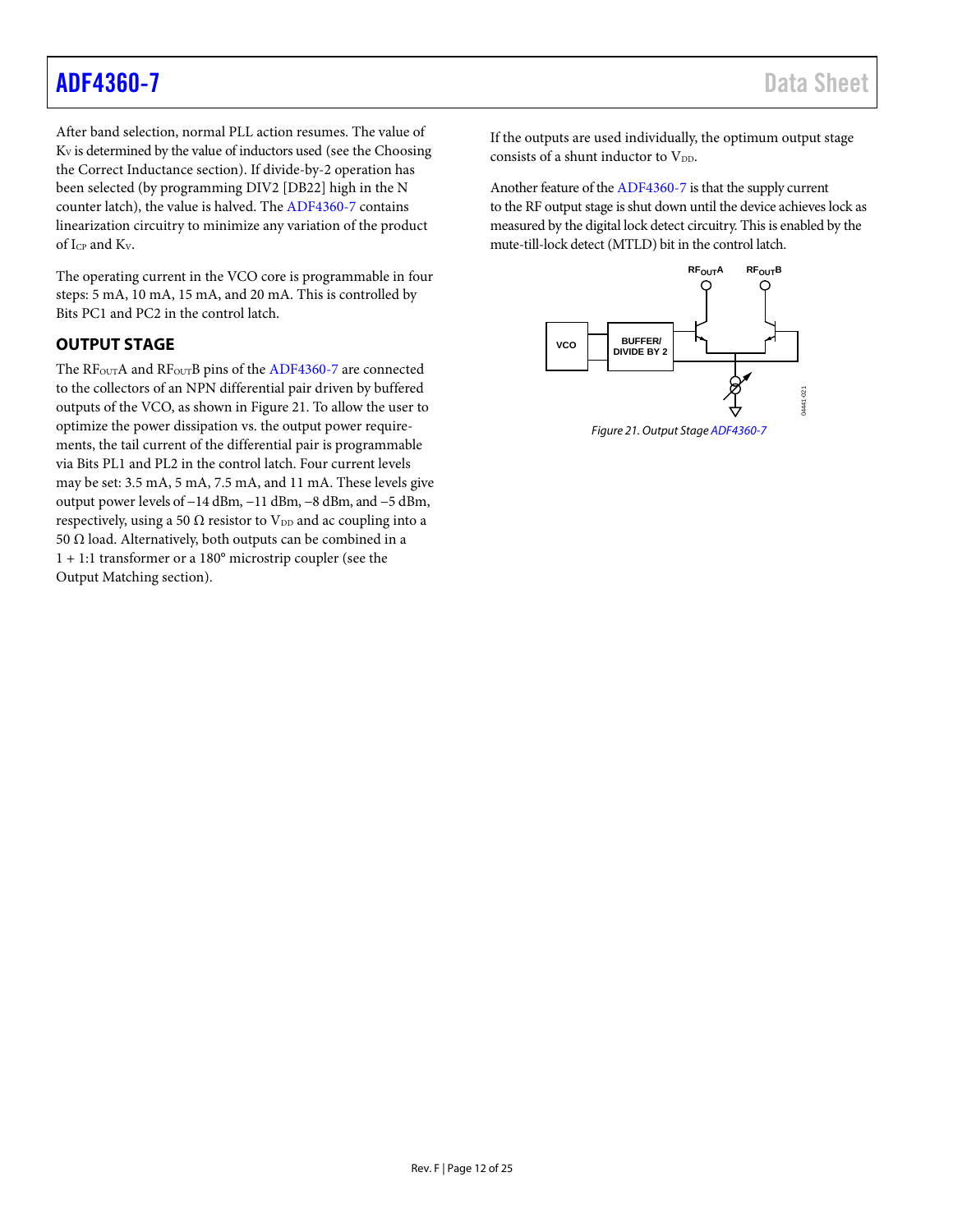After band selection, normal PLL action resumes. The value of  $K_V$  is determined by the value of inductors used (see the Choosing [the Correct Inductance](#page-21-0) section). If divide-by-2 operation has been selected (by programming DIV2 [DB22] high in the N counter latch), the value is halved. Th[e ADF4360-7](http://www.analog.com/adf4360-7?doc=adf4360-7.pdf) contains linearization circuitry to minimize any variation of the product of ICP and KV.

The operating current in the VCO core is programmable in four steps: 5 mA, 10 mA, 15 mA, and 20 mA. This is controlled by Bits PC1 and PC2 in the control latch.

## <span id="page-11-0"></span>**OUTPUT STAGE**

The RF<sub>OUT</sub>A and RF<sub>OUT</sub>B pins of the [ADF4360-7](http://www.analog.com/adf4360-7?doc=adf4360-7.pdf) are connected to the collectors of an NPN differential pair driven by buffered outputs of the VCO, as shown i[n Figure 21.](#page-11-1) To allow the user to optimize the power dissipation vs. the output power requirements, the tail current of the differential pair is programmable via Bits PL1 and PL2 in the control latch. Four current levels may be set: 3.5 mA, 5 mA, 7.5 mA, and 11 mA. These levels give output power levels of −14 dBm, −11 dBm, −8 dBm, and −5 dBm, respectively, using a 50  $\Omega$  resistor to V<sub>DD</sub> and ac coupling into a 50 Ω load. Alternatively, both outputs can be combined in a 1 + 1:1 transformer or a 180° microstrip coupler (see the [Output Matching](#page-23-0) section).

If the outputs are used individually, the optimum output stage consists of a shunt inductor to  $V_{DD}$ .

Another feature of th[e ADF4360-7](http://www.analog.com/adf4360-7?doc=adf4360-7.pdf) is that the supply current to the RF output stage is shut down until the device achieves lock as measured by the digital lock detect circuitry. This is enabled by the mute-till-lock detect (MTLD) bit in the control latch.



<span id="page-11-1"></span>*Figure 21. Output Stag[e ADF4360-7](http://www.analog.com/adf4360-7?doc=adf4360-7.pdf)*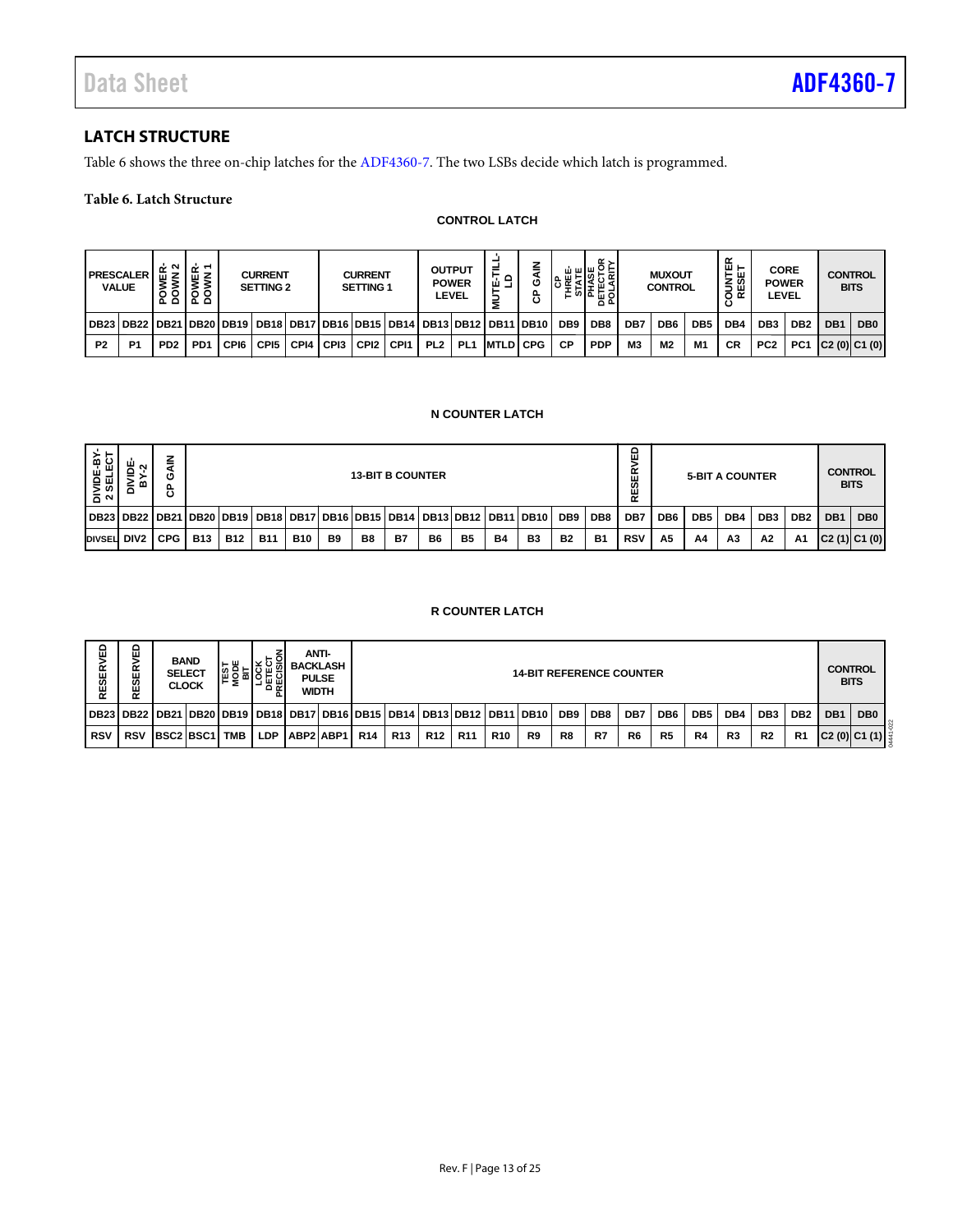# <span id="page-12-0"></span>**LATCH STRUCTURE**

[Table 6](#page-12-1) shows the three on-chip latches for th[e ADF4360-7.](http://www.analog.com/adf4360-7?doc=adf4360-7.pdf) The two LSBs decide which latch is programmed.

### <span id="page-12-1"></span>**Table 6. Latch Structure**

#### **CONTROL LATCH**

|                | <b>PRESCALER</b><br><b>VALUE</b>                                                                | . I 空 <sup>이</sup><br>ăδ | Ψ¥<br>VER<br>စ္မွဥ္ |      | <b>CURRENT</b><br><b>SETTING 2</b> |           | <b>CURRENT</b><br><b>SETTING 1</b> |                  | <b>OUTPUT</b>   | <b>POWER</b><br>LEVEL | ⋍<br>요료           | z<br>O<br>௳<br>ပ |                 | $\alpha$ .<br>ᅁᄘᆈᅌ<br>൧௨ |                | <b>MUXOUT</b><br><b>CONTROL</b> |                 | ≃<br>ш ⊢<br>ш<br><b>SES</b> | <b>CORE</b><br><b>POWER</b><br><b>LEVEL</b> |                 |                 | <b>CONTROL</b><br><b>BITS</b> |
|----------------|-------------------------------------------------------------------------------------------------|--------------------------|---------------------|------|------------------------------------|-----------|------------------------------------|------------------|-----------------|-----------------------|-------------------|------------------|-----------------|--------------------------|----------------|---------------------------------|-----------------|-----------------------------|---------------------------------------------|-----------------|-----------------|-------------------------------|
|                | DB23   DB22   DB21   DB20   DB19   DB18   DB17   DB16   DB15   DB14   DB13   DB12   DB11   DB10 |                          |                     |      |                                    |           |                                    |                  |                 |                       |                   |                  | DB <sub>9</sub> | DB8                      | DB7            | DB6                             | DB <sub>5</sub> | DB4                         | DB <sub>3</sub>                             | DB <sub>2</sub> | DB <sub>1</sub> | DB <sub>0</sub>               |
| P <sub>2</sub> | P <sub>1</sub>                                                                                  | PD <sub>2</sub>          | PD <sub>1</sub>     | CPI6 | CP <sub>15</sub>                   | CPI4 CPI3 | ' CPI2                             | CP <sub>11</sub> | PL <sub>2</sub> | PL <sub>1</sub>       | <b>IMTLDI CPG</b> |                  | <b>CP</b>       | <b>PDP</b>               | M <sub>3</sub> | M2                              | M <sub>1</sub>  | СR                          | PC <sub>2</sub>                             | PC1 C2(0) C1(0) |                 |                               |

#### **N COUNTER LATCH**

| DIVIDE-BY-<br>2 SELECT | DIVIDE-<br>BY-2     | <b>GAIN</b><br>ზ |                             |            |                                                                   |                                                                 |                |                | <b>13-BIT B COUNTER</b> |           |                        |           |                                 |                 |                 | ξĐ<br><b>RESER</b> |                 |                 | <b>5-BIT A COUNTER</b> |                 |                 |     | <b>CONTROL</b><br><b>BITS</b> |
|------------------------|---------------------|------------------|-----------------------------|------------|-------------------------------------------------------------------|-----------------------------------------------------------------|----------------|----------------|-------------------------|-----------|------------------------|-----------|---------------------------------|-----------------|-----------------|--------------------|-----------------|-----------------|------------------------|-----------------|-----------------|-----|-------------------------------|
| <b>DB23</b>            | DB22                |                  |                             |            | DB21  DB20  DB19   DB18                                           | DB17                                                            | DB16 DB15 DB14 |                |                         |           | <b>DB13 DB12</b>       |           | <b>DB11 DB10</b>                | DB <sub>9</sub> | DB <sub>8</sub> | DB7                | DB <sub>6</sub> | DB <sub>5</sub> | DB4                    | DB <sub>3</sub> | DB <sub>2</sub> | DB1 | DB <sub>0</sub>               |
| DIVSEL DIV2            |                     | <b>CPG</b>       | <b>B13</b>                  | <b>B12</b> | <b>B11</b>                                                        | <b>B10</b>                                                      | B <sub>9</sub> | B <sub>8</sub> | <b>B7</b>               | <b>B6</b> | <b>B5</b>              | <b>B4</b> | B <sub>3</sub>                  | <b>B2</b>       | <b>B1</b>       | <b>RSV</b>         | A <sub>5</sub>  | A4              | A <sub>3</sub>         | A2              | A1              |     | C2(1) C1(0)                   |
|                        |                     |                  |                             |            |                                                                   |                                                                 |                |                |                         |           | <b>R COUNTER LATCH</b> |           |                                 |                 |                 |                    |                 |                 |                        |                 |                 |     |                               |
| <b>RESERVED</b>        | ΛĒ<br>œ<br>ш<br>RES | <b>SELECT</b>    | <b>BAND</b><br><b>CLOCK</b> |            | <b>TEST<br/>MODE<br/>MODE<br/>DETECT<br/>DETECT<br/>PRECISIOI</b> | <b>ANTI-</b><br><b>BACKLASH</b><br><b>PULSE</b><br><b>WIDTH</b> |                |                |                         |           |                        |           | <b>14-BIT REFERENCE COUNTER</b> |                 |                 |                    |                 |                 |                        |                 |                 |     | <b>CONTROL</b><br><b>BITS</b> |

#### **R COUNTER LATCH**

| £<br>ESER  | ≏<br>ш<br>띥<br><b>留</b> | <b>BAND</b>          | <b>SELECT</b><br><b>CLOCK</b> | டய<br>북윤없 | 요일         | <b>BACKLASH</b> | <b>ANTI-</b><br><b>PULSE</b><br><b>WIDTH</b> |            | <b>14-BIT REFERENCE COUNTER</b> |            |            |            |                                                                       |                 |                 |                |                 |                 | <b>CONTROL</b><br><b>BITS</b> |                 |                 |                 |                 |
|------------|-------------------------|----------------------|-------------------------------|-----------|------------|-----------------|----------------------------------------------|------------|---------------------------------|------------|------------|------------|-----------------------------------------------------------------------|-----------------|-----------------|----------------|-----------------|-----------------|-------------------------------|-----------------|-----------------|-----------------|-----------------|
|            |                         |                      |                               |           |            |                 |                                              |            |                                 |            |            |            | DB23 DB22 DB21 DB20 DB19 DB18 DB17 DB16 DB15 DB14 DB13 DB12 DB11 DB10 | DB <sub>9</sub> | DB <sub>8</sub> | DB7            | DB <sub>6</sub> | DB <sub>5</sub> | DB4                           | DB <sub>3</sub> | DB <sub>2</sub> | DB <sub>1</sub> | DB <sub>0</sub> |
| <b>RSV</b> | <b>RSV</b>              | <b>BSC2 BSC1 TMB</b> |                               |           | <b>LDP</b> | ABP2 ABP1       |                                              | <b>R14</b> | R <sub>13</sub>                 | <b>R12</b> | <b>R11</b> | <b>R10</b> | R9                                                                    | R8              | R7              | R <sub>6</sub> | R <sub>5</sub>  | R4              | R3                            | R <sub>2</sub>  | R <sub>1</sub>  |                 | C2(0) C1(1)     |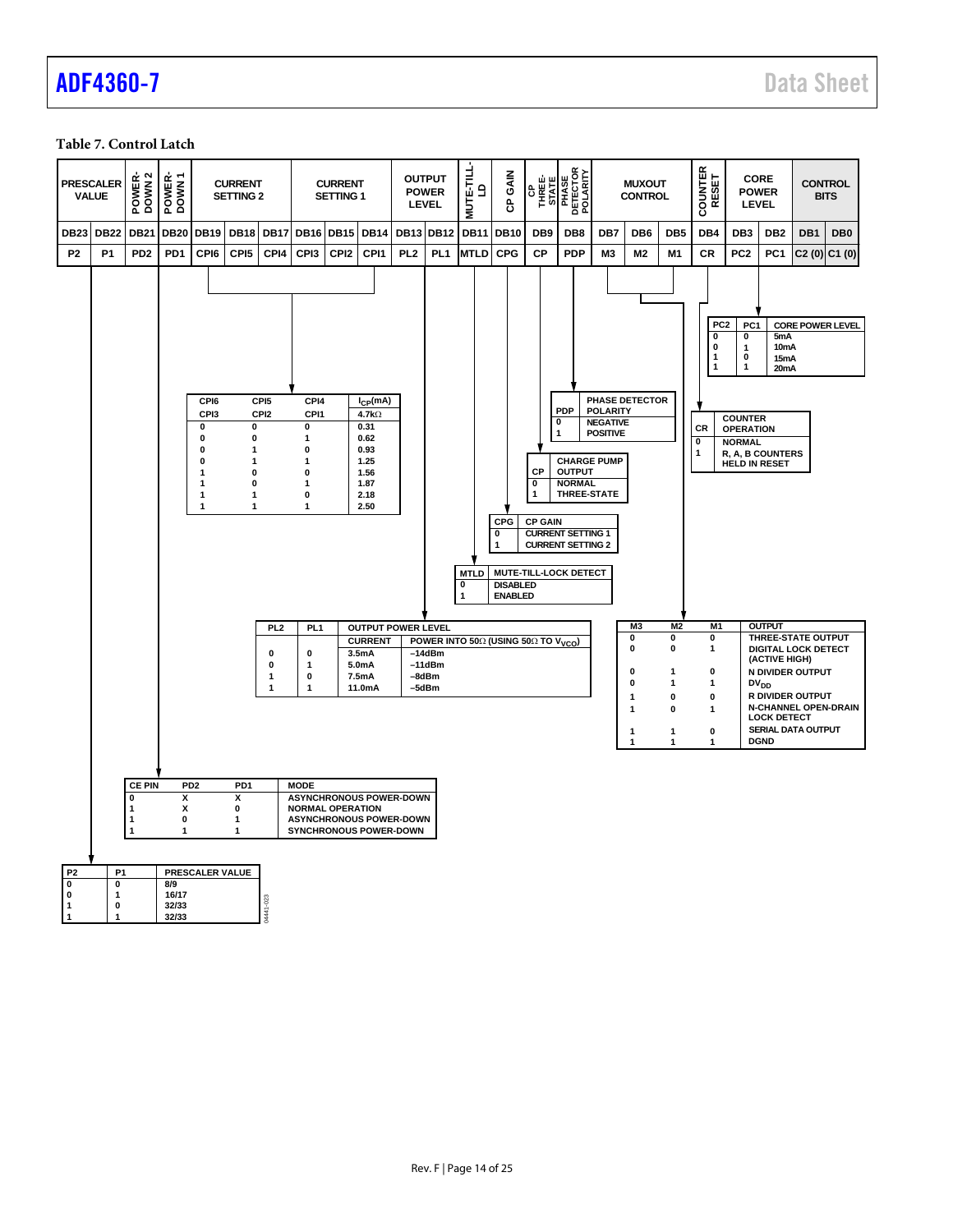#### <span id="page-13-0"></span>**Table 7. Control Latch**

**1 1 32/33**

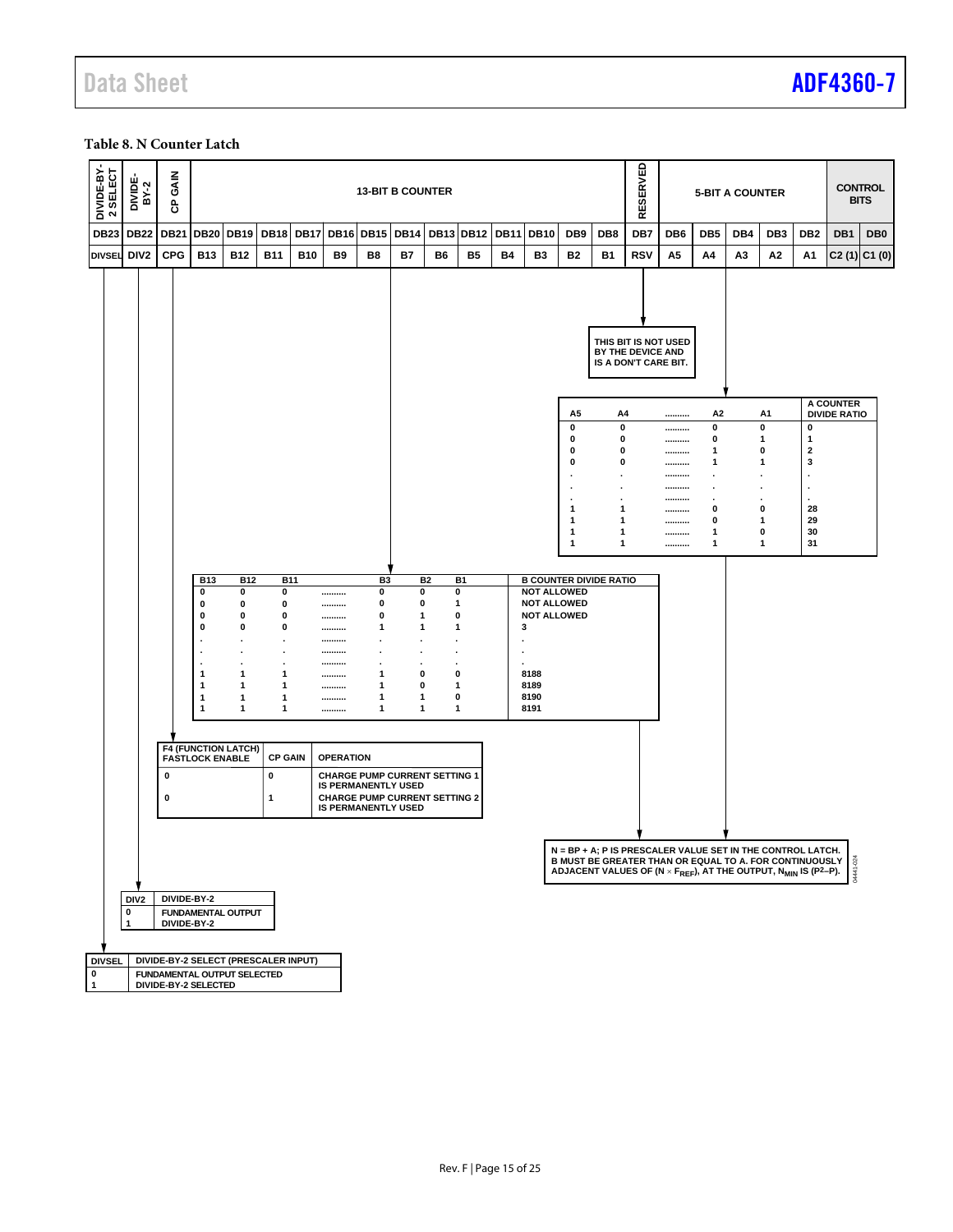#### <span id="page-14-0"></span>**Table 8. N Counter Latch**

| DIVIDE-BY-<br>2 SELECT            | DIVIDE-<br>BY-2  | GAIN<br>සි  |                              |                            |                                      |             |                  |                | <b>13-BIT B COUNTER</b>                                            |           |                   |             |              |                                                                                                                                                                                                                                                                                 |                                              | RESERVED          |                                              |                     | <b>5-BIT A COUNTER</b> |                    |                           |                                  | <b>CONTROL</b><br><b>BITS</b> |
|-----------------------------------|------------------|-------------|------------------------------|----------------------------|--------------------------------------|-------------|------------------|----------------|--------------------------------------------------------------------|-----------|-------------------|-------------|--------------|---------------------------------------------------------------------------------------------------------------------------------------------------------------------------------------------------------------------------------------------------------------------------------|----------------------------------------------|-------------------|----------------------------------------------|---------------------|------------------------|--------------------|---------------------------|----------------------------------|-------------------------------|
| <b>DB23</b>                       | <b>DB22</b>      | <b>DB21</b> |                              | <b>DB20 DB19</b>           | <b>DB18</b>                          | <b>DB17</b> | <b>DB16</b>      | <b>DB15</b>    | <b>DB14</b>                                                        |           | <b>DB13 DB12</b>  | <b>DB11</b> | <b>DB10</b>  | DB9                                                                                                                                                                                                                                                                             | DB <sub>8</sub>                              | DB7               | DB <sub>6</sub>                              | DB <sub>5</sub>     | DB4                    | DB <sub>3</sub>    | DB <sub>2</sub>           | DB <sub>1</sub>                  | DB <sub>0</sub>               |
| <b>DIVSEL</b>                     | DIV <sub>2</sub> | <b>CPG</b>  | <b>B13</b>                   | <b>B12</b>                 | <b>B11</b>                           | <b>B10</b>  | B9               | B8             | <b>B7</b>                                                          | B6        | <b>B5</b>         | Β4          | B3           | <b>B2</b>                                                                                                                                                                                                                                                                       | <b>B1</b>                                    | <b>RSV</b>        | А5                                           | Α4                  | A3                     | А2                 | A1                        |                                  | C2(1) C1(0)                   |
|                                   |                  |             |                              |                            |                                      |             |                  |                |                                                                    |           |                   |             |              |                                                                                                                                                                                                                                                                                 |                                              |                   |                                              |                     |                        |                    |                           |                                  |                               |
|                                   |                  |             |                              |                            |                                      |             |                  |                |                                                                    |           |                   |             |              |                                                                                                                                                                                                                                                                                 |                                              | BY THE DEVICE AND | THIS BIT IS NOT USED<br>IS A DON'T CARE BIT. |                     |                        |                    |                           |                                  |                               |
|                                   |                  |             |                              |                            |                                      |             |                  |                |                                                                    |           |                   |             |              | А5                                                                                                                                                                                                                                                                              | A4                                           |                   |                                              | A2                  |                        | A <sub>1</sub>     |                           | A COUNTER<br><b>DIVIDE RATIO</b> |                               |
|                                   |                  |             |                              |                            |                                      |             |                  |                |                                                                    |           |                   |             |              | 0<br>0                                                                                                                                                                                                                                                                          | 0<br>0                                       |                   |                                              | 0<br>0              |                        | 0<br>1             | 0<br>1                    |                                  |                               |
|                                   |                  |             |                              |                            |                                      |             |                  |                |                                                                    |           |                   |             |              | 0                                                                                                                                                                                                                                                                               | 0                                            |                   | <br>                                         | 1                   |                        | 0                  | $\mathbf{2}$              |                                  |                               |
|                                   |                  |             |                              |                            |                                      |             |                  |                |                                                                    |           |                   |             |              | 0                                                                                                                                                                                                                                                                               | 0<br>$\ddot{\phantom{a}}$                    |                   | <br>                                         | 1<br>$\blacksquare$ |                        | 1<br>÷             | 3<br>$\ddot{\phantom{a}}$ |                                  |                               |
|                                   |                  |             |                              |                            |                                      |             |                  |                |                                                                    |           |                   |             |              |                                                                                                                                                                                                                                                                                 | $\ddot{\phantom{a}}$<br>$\ddot{\phantom{a}}$ |                   | <br>                                         | $\cdot$<br>$\cdot$  |                        | $\cdot$<br>$\cdot$ | $\cdot$<br>$\cdot$        |                                  |                               |
|                                   |                  |             |                              |                            |                                      |             |                  |                |                                                                    |           |                   |             |              | 1<br>1                                                                                                                                                                                                                                                                          | 1<br>1                                       |                   | <br>                                         | 0<br>0              |                        | 0<br>1             | 28<br>29                  |                                  |                               |
|                                   |                  |             |                              |                            |                                      |             |                  |                |                                                                    |           |                   |             |              | $\mathbf{1}$<br>1                                                                                                                                                                                                                                                               | 1<br>1                                       |                   | <br>                                         | 1<br>1              |                        | 0<br>1             | 30<br>31                  |                                  |                               |
|                                   |                  |             |                              |                            |                                      |             |                  |                |                                                                    |           |                   |             |              |                                                                                                                                                                                                                                                                                 |                                              |                   |                                              |                     |                        |                    |                           |                                  |                               |
|                                   |                  |             | <b>B13</b>                   |                            | <b>B12</b>                           | <b>B11</b>  |                  | B <sub>3</sub> |                                                                    | <b>B2</b> | <b>B1</b>         |             |              | <b>B COUNTER DIVIDE RATIO</b>                                                                                                                                                                                                                                                   |                                              |                   |                                              |                     |                        |                    |                           |                                  |                               |
|                                   |                  |             | 0<br>0                       | 0<br>0                     | 0<br>0                               |             | <br>             | 0<br>0         | 0<br>0                                                             |           | $\pmb{0}$<br>1    |             |              | <b>NOT ALLOWED</b><br><b>NOT ALLOWED</b>                                                                                                                                                                                                                                        |                                              |                   |                                              |                     |                        |                    |                           |                                  |                               |
|                                   |                  |             | 0<br>0                       | 0<br>0                     | 0<br>0                               |             | <br>             | 0<br>1         | $\mathbf 1$<br>$\mathbf 1$                                         |           | 0<br>1            |             | 3            | <b>NOT ALLOWED</b>                                                                                                                                                                                                                                                              |                                              |                   |                                              |                     |                        |                    |                           |                                  |                               |
|                                   |                  |             |                              |                            |                                      |             |                  |                |                                                                    |           |                   |             |              |                                                                                                                                                                                                                                                                                 |                                              |                   |                                              |                     |                        |                    |                           |                                  |                               |
|                                   |                  |             |                              |                            |                                      |             | <br>             |                |                                                                    |           |                   |             |              |                                                                                                                                                                                                                                                                                 |                                              |                   |                                              |                     |                        |                    |                           |                                  |                               |
|                                   |                  |             | $\mathbf{1}$<br>$\mathbf{1}$ | 1<br>1                     | 1<br>1                               |             | <br>             | 1<br>1         | 0<br>0                                                             |           | 0<br>1            |             | 8188<br>8189 |                                                                                                                                                                                                                                                                                 |                                              |                   |                                              |                     |                        |                    |                           |                                  |                               |
|                                   |                  |             | $\mathbf{1}$                 | 1                          | 1                                    |             |                  | 1<br>1         | 1<br>$\mathbf{1}$                                                  |           | 0<br>$\mathbf{1}$ |             | 8190<br>8191 |                                                                                                                                                                                                                                                                                 |                                              |                   |                                              |                     |                        |                    |                           |                                  |                               |
|                                   |                  |             | $\mathbf{1}$                 | 1                          | 1                                    |             |                  |                |                                                                    |           |                   |             |              |                                                                                                                                                                                                                                                                                 |                                              |                   |                                              |                     |                        |                    |                           |                                  |                               |
|                                   |                  |             |                              | <b>F4 (FUNCTION LATCH)</b> |                                      |             |                  |                |                                                                    |           |                   |             |              |                                                                                                                                                                                                                                                                                 |                                              |                   |                                              |                     |                        |                    |                           |                                  |                               |
|                                   |                  |             |                              | <b>FASTLOCK ENABLE</b>     | <b>CP GAIN</b>                       |             | <b>OPERATION</b> |                |                                                                    |           |                   |             |              |                                                                                                                                                                                                                                                                                 |                                              |                   |                                              |                     |                        |                    |                           |                                  |                               |
|                                   |                  | $\mathbf 0$ |                              |                            | 0                                    |             |                  |                | <b>CHARGE PUMP CURRENT SETTING 1</b><br><b>IS PERMANENTLY USED</b> |           |                   |             |              |                                                                                                                                                                                                                                                                                 |                                              |                   |                                              |                     |                        |                    |                           |                                  |                               |
|                                   |                  | 0           |                              |                            | 1                                    |             |                  |                | <b>CHARGE PUMP CURRENT SETTING 2</b><br><b>IS PERMANENTLY USED</b> |           |                   |             |              |                                                                                                                                                                                                                                                                                 |                                              |                   |                                              |                     |                        |                    |                           |                                  |                               |
|                                   |                  |             |                              |                            |                                      |             |                  |                |                                                                    |           |                   |             |              |                                                                                                                                                                                                                                                                                 |                                              |                   |                                              |                     |                        |                    |                           |                                  |                               |
|                                   |                  |             |                              |                            |                                      |             |                  |                |                                                                    |           |                   |             |              |                                                                                                                                                                                                                                                                                 |                                              |                   |                                              |                     |                        |                    |                           |                                  |                               |
|                                   |                  |             |                              |                            |                                      |             |                  |                |                                                                    |           |                   |             |              | N = BP + A; P IS PRESCALER VALUE SET IN THE CONTRUL LATTER THAN OR EQUAL TO A. FOR CONTINUOUSLY $\begin{bmatrix} 8 \\ 3 \\ 4 \\ 3 \\ 4 \end{bmatrix}$<br>B MUST BE GREATER THAN OR EQUAL TO A. FOR CONTINUOUSLY $\begin{bmatrix} 3 \\ 3 \\ 4 \\ 4 \\ 3 \\ 3 \\ 4 \end{bmatrix}$ |                                              |                   |                                              |                     |                        |                    |                           |                                  |                               |
|                                   | DIV <sub>2</sub> |             | DIVIDE-BY-2                  |                            |                                      |             |                  |                |                                                                    |           |                   |             |              |                                                                                                                                                                                                                                                                                 |                                              |                   |                                              |                     |                        |                    |                           |                                  |                               |
|                                   | $\pmb{0}$        |             |                              | <b>FUNDAMENTAL OUTPUT</b>  |                                      |             |                  |                |                                                                    |           |                   |             |              |                                                                                                                                                                                                                                                                                 |                                              |                   |                                              |                     |                        |                    |                           |                                  |                               |
|                                   | $\mathbf{1}$     |             | DIVIDE-BY-2                  |                            |                                      |             |                  |                |                                                                    |           |                   |             |              |                                                                                                                                                                                                                                                                                 |                                              |                   |                                              |                     |                        |                    |                           |                                  |                               |
| <b>DIVSEL</b>                     |                  |             |                              |                            | DIVIDE-BY-2 SELECT (PRESCALER INPUT) |             |                  |                |                                                                    |           |                   |             |              |                                                                                                                                                                                                                                                                                 |                                              |                   |                                              |                     |                        |                    |                           |                                  |                               |
| $\overline{\bullet}$<br>$\vert$ 1 |                  |             | DIVIDE-BY-2 SELECTED         |                            | FUNDAMENTAL OUTPUT SELECTED          |             |                  |                |                                                                    |           |                   |             |              |                                                                                                                                                                                                                                                                                 |                                              |                   |                                              |                     |                        |                    |                           |                                  |                               |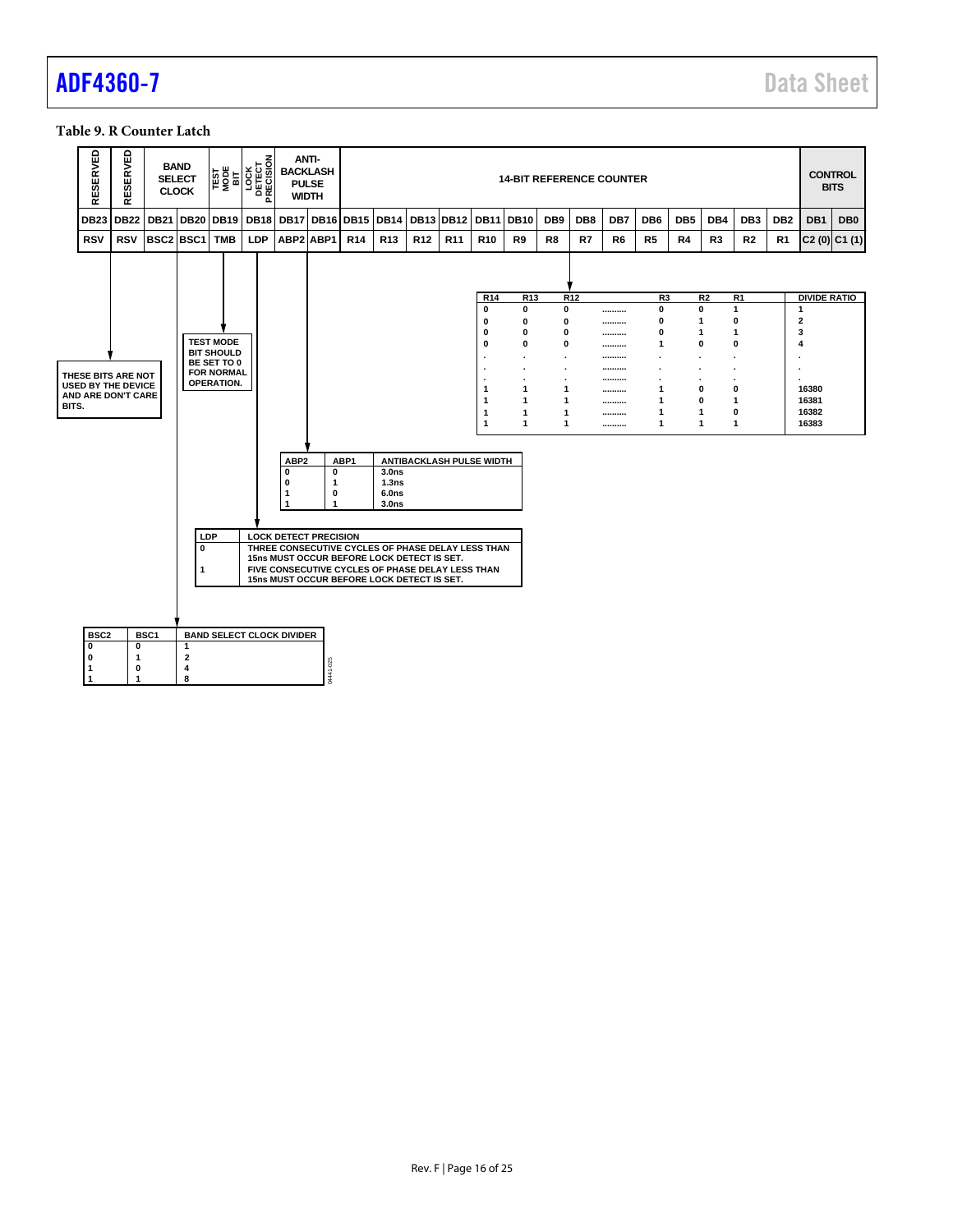### <span id="page-15-0"></span>**Table 9. R Counter Latch**

|       | <b>SERVED</b><br>ш<br>≃                                               | ERVED<br>ळ<br>ш<br>≃                   | <b>BAND</b><br><b>SELECT</b><br><b>CLOCK</b> |                                       |                                                                                                | TEST<br>MODE<br>BIT<br>LOCK<br>DETECT<br>PRECISION |                                      | <b>ANTI-</b><br><b>BACKLASH</b><br><b>PULSE</b><br><b>WIDTH</b> |                                                                                                                                                                                                   |                            |                 |                 |                                                                                     | <b>14-BIT REFERENCE COUNTER</b>                                                                          |                                                 |                 |                                                    |                                                                   |                  |                                    |                                                                                                                        |                 | <b>CONTROL</b>                                                                                               | <b>BITS</b>     |
|-------|-----------------------------------------------------------------------|----------------------------------------|----------------------------------------------|---------------------------------------|------------------------------------------------------------------------------------------------|----------------------------------------------------|--------------------------------------|-----------------------------------------------------------------|---------------------------------------------------------------------------------------------------------------------------------------------------------------------------------------------------|----------------------------|-----------------|-----------------|-------------------------------------------------------------------------------------|----------------------------------------------------------------------------------------------------------|-------------------------------------------------|-----------------|----------------------------------------------------|-------------------------------------------------------------------|------------------|------------------------------------|------------------------------------------------------------------------------------------------------------------------|-----------------|--------------------------------------------------------------------------------------------------------------|-----------------|
|       | <b>DB23</b>                                                           | <b>DB22</b>                            | <b>DB21</b>                                  | <b>DB20</b>                           | <b>DB19</b>                                                                                    | <b>DB18</b>                                        |                                      | <b>DB17 DB16</b>                                                | <b>DB15</b>                                                                                                                                                                                       | <b>DB14</b>                | <b>DB13</b>     | <b>DB12</b>     | <b>DB11</b>                                                                         | <b>DB10</b>                                                                                              | DB <sub>9</sub>                                 | DB8             | DB7                                                | DB <sub>6</sub>                                                   | DB <sub>5</sub>  | DB4                                | DB <sub>3</sub>                                                                                                        | DB <sub>2</sub> | DB1                                                                                                          | DB <sub>0</sub> |
|       | <b>RSV</b>                                                            | <b>RSV</b>                             | BSC2 BSC1                                    |                                       | <b>TMB</b>                                                                                     | LDP                                                |                                      | ABP2 ABP1                                                       | <b>R14</b>                                                                                                                                                                                        | <b>R13</b>                 | R <sub>12</sub> | R <sub>11</sub> | R <sub>10</sub>                                                                     | R9                                                                                                       | R8                                              | R7              | R <sub>6</sub>                                     | R <sub>5</sub>                                                    | R4               | R3                                 | R <sub>2</sub>                                                                                                         | R1              |                                                                                                              | $C2(0)$ $C1(1)$ |
| BITS. | THESE BITS ARE NOT<br><b>USED BY THE DEVICE</b><br>AND ARE DON'T CARE |                                        |                                              |                                       | <b>TEST MODE</b><br><b>BIT SHOULD</b><br>BE SET TO 0<br><b>FOR NORMAL</b><br><b>OPERATION.</b> |                                                    | ABP <sub>2</sub><br>$\mathbf 0$<br>O | $\mathbf 0$<br>$\mathbf 1$                                      | ABP1                                                                                                                                                                                              | 3.0 <sub>ns</sub><br>1.3ns |                 |                 | R <sub>14</sub><br>0<br>0<br>0<br>0<br>1<br>1<br>1<br>1<br>ANTIBACKLASH PULSE WIDTH | R <sub>13</sub><br>$\mathbf{0}$<br>0<br>0<br>$\bf{0}$<br>$\mathbf 1$<br>$\mathbf 1$<br>1<br>$\mathbf{1}$ | $\mathbf{0}$<br>0<br>0<br>0<br>1<br>1<br>1<br>1 | R <sub>12</sub> | <br><br><br><br>----------<br><br><br><br><br><br> | R <sub>3</sub><br>0<br>0<br>0<br>1<br>1<br>1<br>1<br>$\mathbf{1}$ | 1<br>1<br>1<br>1 | R <sub>2</sub><br>0<br>0<br>0<br>0 | R <sub>1</sub><br>$\mathbf{1}$<br>0<br>$\mathbf{1}$<br>$\mathbf 0$<br>$\mathbf 0$<br>$\mathbf{1}$<br>0<br>$\mathbf{1}$ |                 | <b>DIVIDE RATIO</b><br>$\mathbf{1}$<br>$\overline{\mathbf{2}}$<br>3<br>4<br>16380<br>16381<br>16382<br>16383 |                 |
|       | BSC <sub>2</sub>                                                      |                                        | BSC <sub>1</sub>                             | LDP<br>$\mathbf{0}$<br>1              |                                                                                                | <b>BAND SELECT CLOCK DIVIDER</b>                   | 1<br>$\mathbf 1$                     | $\mathbf 0$<br>1<br><b>LOCK DETECT PRECISION</b>                | THREE CONSECUTIVE CYCLES OF PHASE DELAY LESS THAN<br>15ns MUST OCCUR BEFORE LOCK DETECT IS SET.<br>FIVE CONSECUTIVE CYCLES OF PHASE DELAY LESS THAN<br>15ns MUST OCCUR BEFORE LOCK DETECT IS SET. | 6.0ns<br>3.0 <sub>ns</sub> |                 |                 |                                                                                     |                                                                                                          |                                                 |                 |                                                    |                                                                   |                  |                                    |                                                                                                                        |                 |                                                                                                              |                 |
|       | 0<br>0<br>1                                                           | $\mathbf 0$<br>-1<br>0<br>$\mathbf{1}$ |                                              | $\mathbf{1}$<br>$\mathbf 2$<br>4<br>8 |                                                                                                |                                                    |                                      | M441-025                                                        |                                                                                                                                                                                                   |                            |                 |                 |                                                                                     |                                                                                                          |                                                 |                 |                                                    |                                                                   |                  |                                    |                                                                                                                        |                 |                                                                                                              |                 |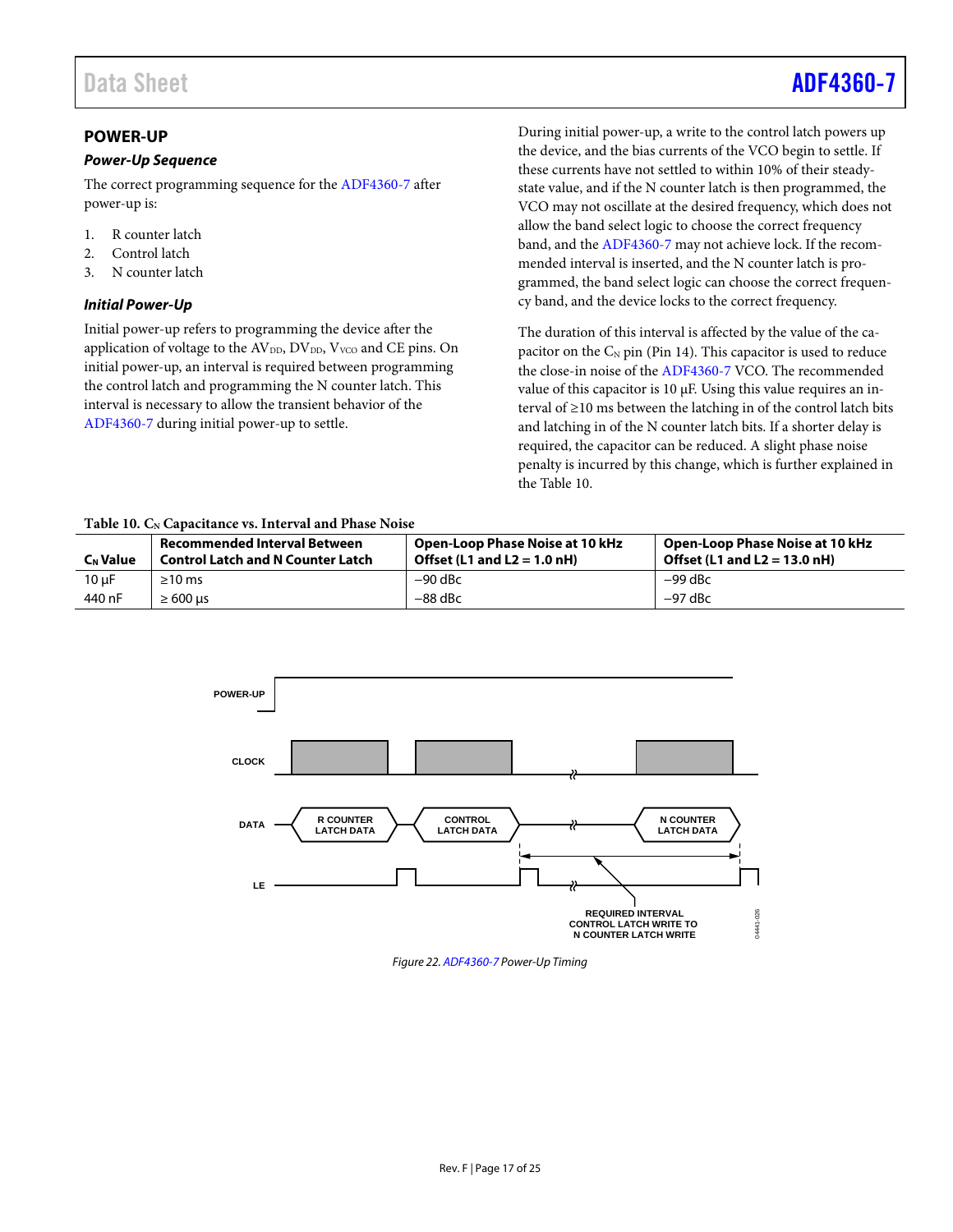# Data Sheet **[ADF4360-7](http://www.analog.com/adf4360-7?doc=adf4360-7.pdf)**

# <span id="page-16-0"></span>**POWER-UP**

#### *Power-Up Sequence*

The correct programming sequence for the [ADF4360-7](http://www.analog.com/adf4360-7?doc=adf4360-7.pdf) after power-up is:

- 1. R counter latch
- 2. Control latch
- 3. N counter latch

### <span id="page-16-2"></span>*Initial Power-Up*

Initial power-up refers to programming the device after the application of voltage to the AV<sub>DD</sub>, DV<sub>DD</sub>, V<sub>VCO</sub> and CE pins. On initial power-up, an interval is required between programming the control latch and programming the N counter latch. This interval is necessary to allow the transient behavior of the [ADF4360-7](http://www.analog.com/adf4360-7?doc=adf4360-7.pdf) during initial power-up to settle.

During initial power-up, a write to the control latch powers up the device, and the bias currents of the VCO begin to settle. If these currents have not settled to within 10% of their steadystate value, and if the N counter latch is then programmed, the VCO may not oscillate at the desired frequency, which does not allow the band select logic to choose the correct frequency band, and the [ADF4360-7](http://www.analog.com/adf4360-7?doc=adf4360-7.pdf) may not achieve lock. If the recommended interval is inserted, and the N counter latch is programmed, the band select logic can choose the correct frequency band, and the device locks to the correct frequency.

The duration of this interval is affected by the value of the capacitor on the  $C_N$  pin (Pin 14). This capacitor is used to reduce the close-in noise of th[e ADF4360-7](http://www.analog.com/adf4360-7?doc=adf4360-7.pdf) VCO. The recommended value of this capacitor is  $10 \mu$ F. Using this value requires an interval of ≥10 ms between the latching in of the control latch bits and latching in of the N counter latch bits. If a shorter delay is required, the capacitor can be reduced. A slight phase noise penalty is incurred by this change, which is further explained in the [Table 10.](#page-16-1)

#### <span id="page-16-1"></span>Table 10. C<sub>N</sub> Capacitance vs. Interval and Phase Noise

| <b>C<sub>N</sub></b> Value | <b>Recommended Interval Between</b><br><b>Control Latch and N Counter Latch</b> | Open-Loop Phase Noise at 10 kHz<br>Offset $(L1$ and $L2 = 1.0$ nH) | Open-Loop Phase Noise at 10 kHz<br>Offset $(L1$ and $L2 = 13.0$ nH) |
|----------------------------|---------------------------------------------------------------------------------|--------------------------------------------------------------------|---------------------------------------------------------------------|
| $10 \mu F$                 | $\geq 10$ ms                                                                    | $-90$ dBc                                                          | $-99$ dBc                                                           |
| 440 nF                     | $\geq 600$ us                                                                   | $-88$ dBc                                                          | $-97$ dBc                                                           |



*Figure 22[. ADF4360-7](http://www.analog.com/adf4360-7?doc=adf4360-7.pdf) Power-Up Timing*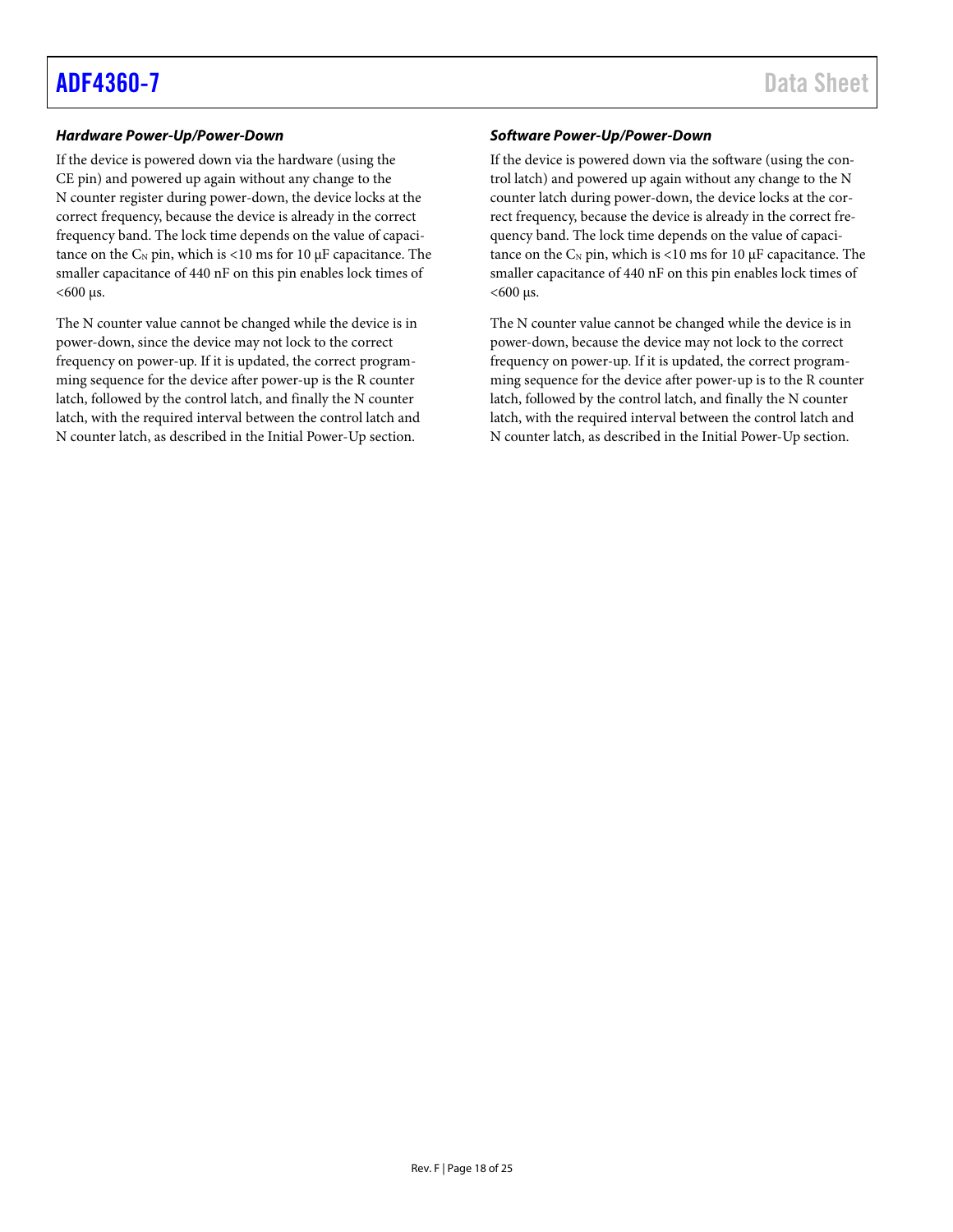### *Hardware Power-Up/Power-Down*

If the device is powered down via the hardware (using the CE pin) and powered up again without any change to the N counter register during power-down, the device locks at the correct frequency, because the device is already in the correct frequency band. The lock time depends on the value of capacitance on the  $C_N$  pin, which is <10 ms for 10  $\mu$ F capacitance. The smaller capacitance of 440 nF on this pin enables lock times of  $<$ 600 µs.

The N counter value cannot be changed while the device is in power-down, since the device may not lock to the correct frequency on power-up. If it is updated, the correct programming sequence for the device after power-up is the R counter latch, followed by the control latch, and finally the N counter latch, with the required interval between the control latch and N counter latch, as described in the [Initial Power-Up](#page-16-2) section.

#### *Software Power-Up/Power-Down*

If the device is powered down via the software (using the control latch) and powered up again without any change to the N counter latch during power-down, the device locks at the correct frequency, because the device is already in the correct frequency band. The lock time depends on the value of capacitance on the  $C_N$  pin, which is <10 ms for 10  $\mu$ F capacitance. The smaller capacitance of 440 nF on this pin enables lock times of  $<$ 600 µs.

The N counter value cannot be changed while the device is in power-down, because the device may not lock to the correct frequency on power-up. If it is updated, the correct programming sequence for the device after power-up is to the R counter latch, followed by the control latch, and finally the N counter latch, with the required interval between the control latch and N counter latch, as described in the [Initial Power-Up](#page-16-2) section.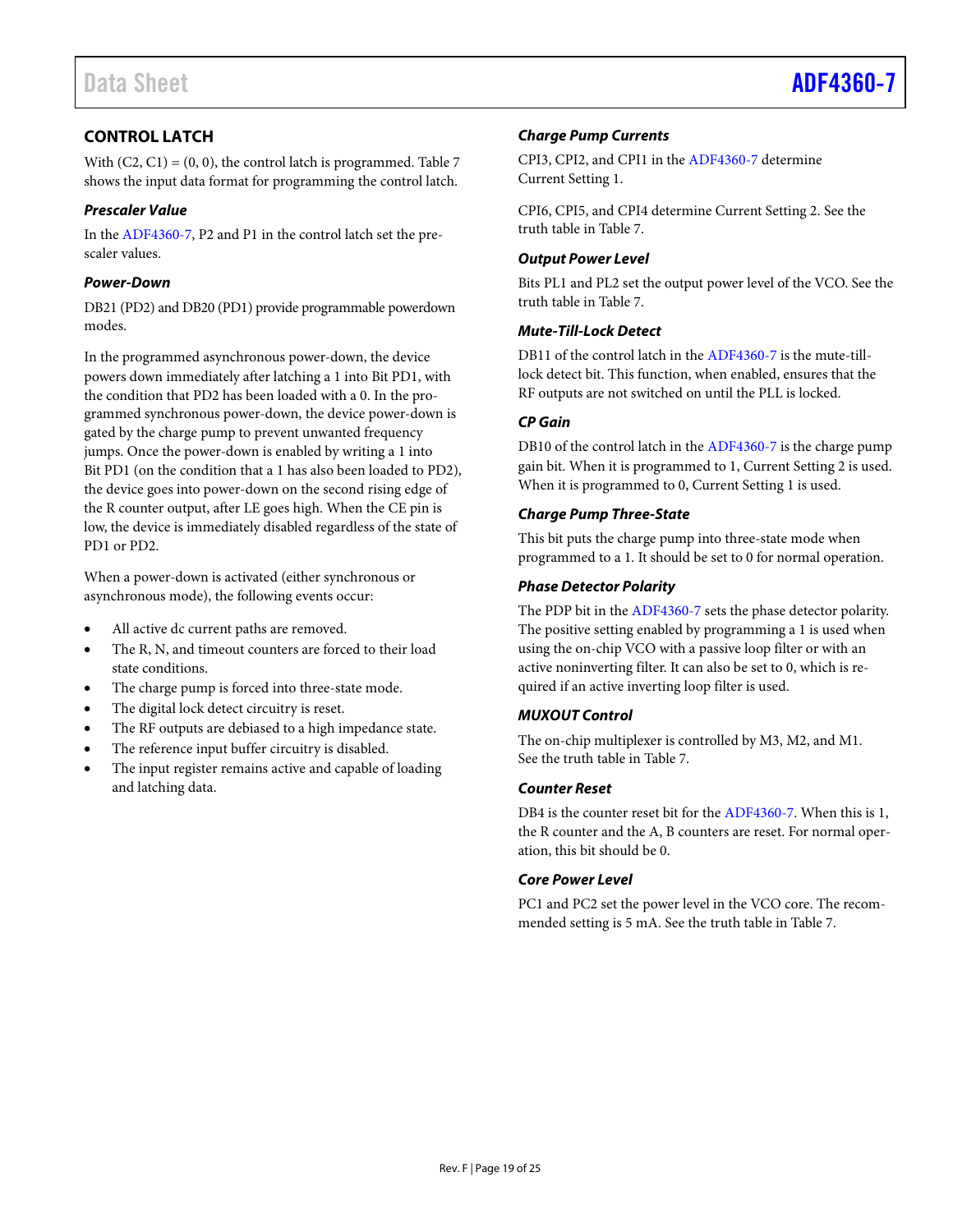# <span id="page-18-0"></span>**CONTROL LATCH**

With  $(C2, C1) = (0, 0)$ , the control latch is programmed[. Table 7](#page-13-0) shows the input data format for programming the control latch.

### *Prescaler Value*

In th[e ADF4360-7,](http://www.analog.com/adf4360-7?doc=adf4360-7.pdf) P2 and P1 in the control latch set the prescaler values.

### *Power-Down*

DB21 (PD2) and DB20 (PD1) provide programmable powerdown modes.

In the programmed asynchronous power-down, the device powers down immediately after latching a 1 into Bit PD1, with the condition that PD2 has been loaded with a 0. In the programmed synchronous power-down, the device power-down is gated by the charge pump to prevent unwanted frequency jumps. Once the power-down is enabled by writing a 1 into Bit PD1 (on the condition that a 1 has also been loaded to PD2), the device goes into power-down on the second rising edge of the R counter output, after LE goes high. When the CE pin is low, the device is immediately disabled regardless of the state of PD1 or PD2.

When a power-down is activated (either synchronous or asynchronous mode), the following events occur:

- All active dc current paths are removed.
- The R, N, and timeout counters are forced to their load state conditions.
- The charge pump is forced into three-state mode.
- The digital lock detect circuitry is reset.
- The RF outputs are debiased to a high impedance state.
- The reference input buffer circuitry is disabled.
- The input register remains active and capable of loading and latching data.

### *Charge Pump Currents*

CPI3, CPI2, and CPI1 in th[e ADF4360-7](http://www.analog.com/adf4360-7?doc=adf4360-7.pdf) determine Current Setting 1.

CPI6, CPI5, and CPI4 determine Current Setting 2. See the truth table in [Table 7.](#page-13-0)

### *Output Power Level*

Bits PL1 and PL2 set the output power level of the VCO. See the truth table in [Table 7.](#page-13-0)

## *Mute-Till-Lock Detect*

DB11 of the control latch in th[e ADF4360-7](http://www.analog.com/adf4360-7?doc=adf4360-7.pdf) is the mute-tilllock detect bit. This function, when enabled, ensures that the RF outputs are not switched on until the PLL is locked.

### *CP Gain*

DB10 of the control latch in th[e ADF4360-7](http://www.analog.com/adf4360-7?doc=adf4360-7.pdf) is the charge pump gain bit. When it is programmed to 1, Current Setting 2 is used. When it is programmed to 0, Current Setting 1 is used.

### *Charge Pump Three-State*

This bit puts the charge pump into three-state mode when programmed to a 1. It should be set to 0 for normal operation.

### *Phase Detector Polarity*

The PDP bit in the [ADF4360-7](http://www.analog.com/adf4360-7?doc=adf4360-7.pdf) sets the phase detector polarity. The positive setting enabled by programming a 1 is used when using the on-chip VCO with a passive loop filter or with an active noninverting filter. It can also be set to 0, which is required if an active inverting loop filter is used.

## *MUXOUT Control*

The on-chip multiplexer is controlled by M3, M2, and M1. See the truth table in [Table 7.](#page-13-0)

#### *Counter Reset*

DB4 is the counter reset bit for th[e ADF4360-7.](http://www.analog.com/adf4360-7?doc=adf4360-7.pdf) When this is 1, the R counter and the A, B counters are reset. For normal operation, this bit should be 0.

## *Core Power Level*

PC1 and PC2 set the power level in the VCO core. The recommended setting is 5 mA. See the truth table i[n Table 7.](#page-13-0)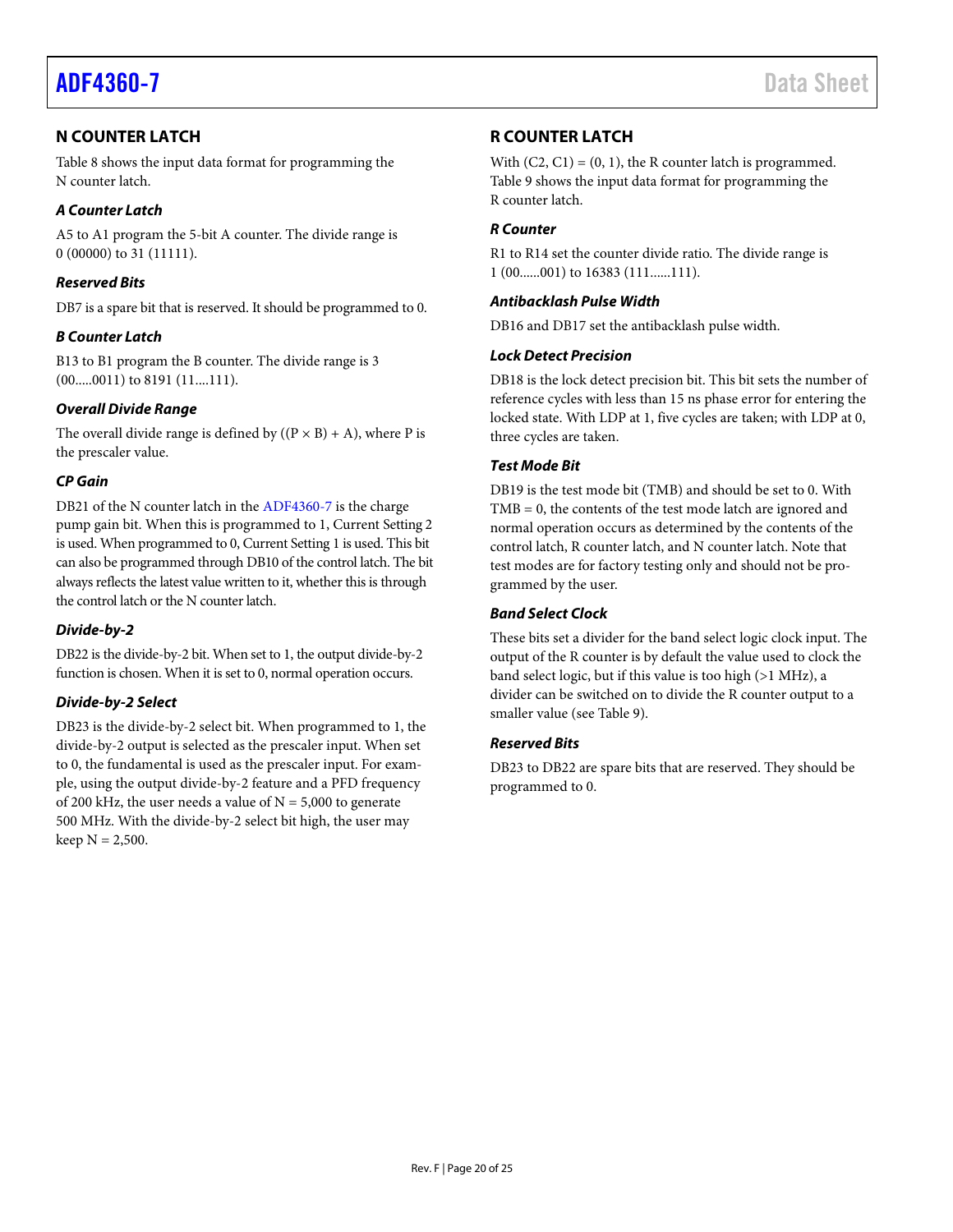# <span id="page-19-0"></span>**N COUNTER LATCH**

[Table 8](#page-14-0) shows the input data format for programming the N counter latch.

# *A Counter Latch*

A5 to A1 program the 5-bit A counter. The divide range is 0 (00000) to 31 (11111).

# *Reserved Bits*

DB7 is a spare bit that is reserved. It should be programmed to 0.

## *B Counter Latch*

B13 to B1 program the B counter. The divide range is 3 (00.....0011) to 8191 (11....111).

# *Overall Divide Range*

The overall divide range is defined by  $((P \times B) + A)$ , where P is the prescaler value.

# *CP Gain*

DB21 of the N counter latch in the [ADF4360-7](http://www.analog.com/adf4360-7?doc=adf4360-7.pdf) is the charge pump gain bit. When this is programmed to 1, Current Setting 2 is used. When programmed to 0, Current Setting 1 is used. This bit can also be programmed through DB10 of the control latch. The bit always reflects the latest value written to it, whether this is through the control latch or the N counter latch.

## *Divide-by-2*

DB22 is the divide-by-2 bit. When set to 1, the output divide-by-2 function is chosen. When it is set to 0, normal operation occurs.

# *Divide-by-2 Select*

DB23 is the divide-by-2 select bit. When programmed to 1, the divide-by-2 output is selected as the prescaler input. When set to 0, the fundamental is used as the prescaler input. For example, using the output divide-by-2 feature and a PFD frequency of 200 kHz, the user needs a value of  $N = 5,000$  to generate 500 MHz. With the divide-by-2 select bit high, the user may keep  $N = 2,500$ .

# <span id="page-19-1"></span>**R COUNTER LATCH**

With  $(C2, C1) = (0, 1)$ , the R counter latch is programmed. [Table 9](#page-15-0) shows the input data format for programming the R counter latch.

# *R Counter*

R1 to R14 set the counter divide ratio. The divide range is 1 (00......001) to 16383 (111......111).

# *Antibacklash Pulse Width*

DB16 and DB17 set the antibacklash pulse width.

## *Lock Detect Precision*

DB18 is the lock detect precision bit. This bit sets the number of reference cycles with less than 15 ns phase error for entering the locked state. With LDP at 1, five cycles are taken; with LDP at 0, three cycles are taken.

## *Test Mode Bit*

DB19 is the test mode bit (TMB) and should be set to 0. With TMB = 0, the contents of the test mode latch are ignored and normal operation occurs as determined by the contents of the control latch, R counter latch, and N counter latch. Note that test modes are for factory testing only and should not be programmed by the user.

# *Band Select Clock*

These bits set a divider for the band select logic clock input. The output of the R counter is by default the value used to clock the band select logic, but if this value is too high (>1 MHz), a divider can be switched on to divide the R counter output to a smaller value (se[e Table 9\)](#page-15-0).

# *Reserved Bits*

DB23 to DB22 are spare bits that are reserved. They should be programmed to 0.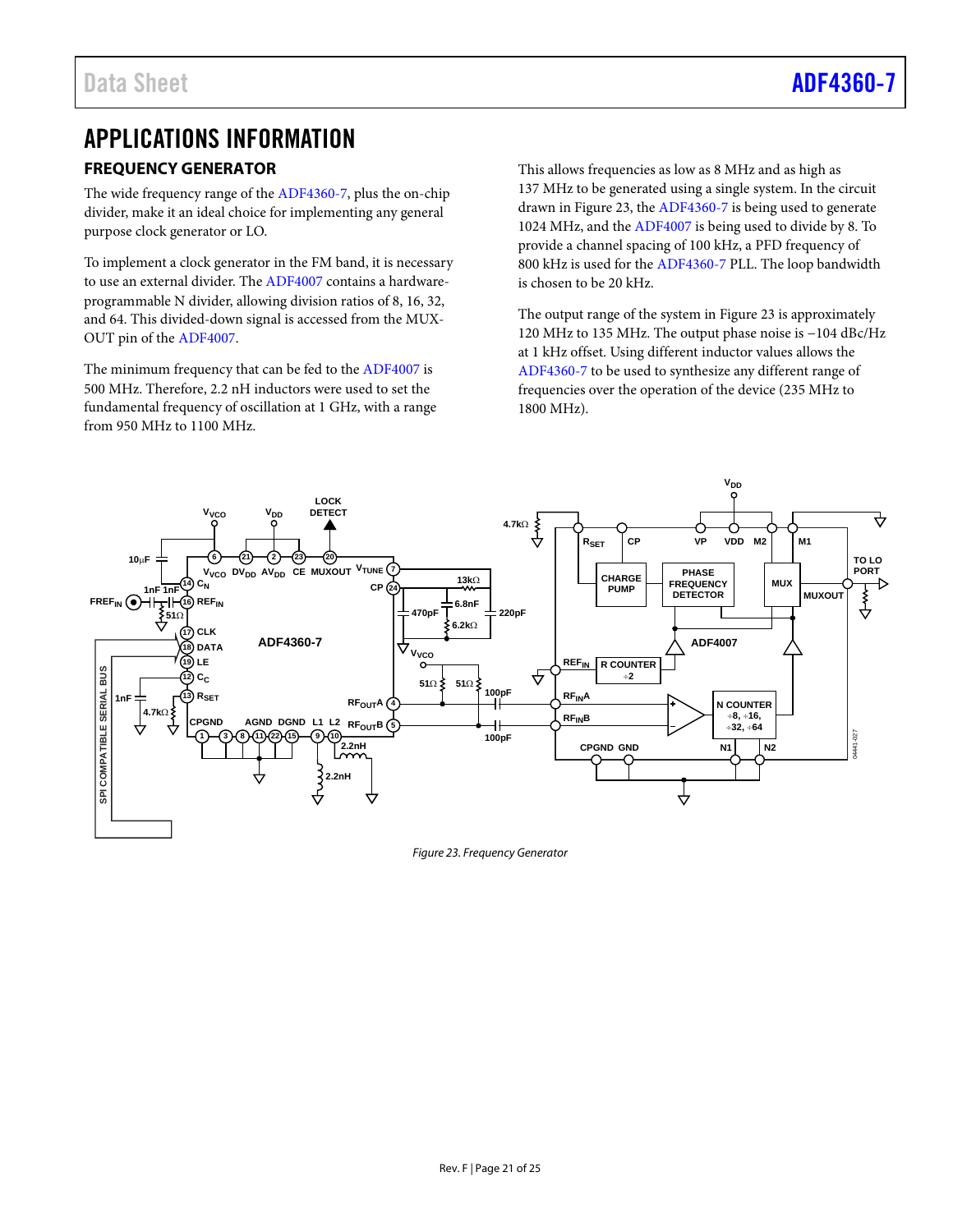# <span id="page-20-0"></span>APPLICATIONS INFORMATION **FREQUENCY GENERATOR**

<span id="page-20-1"></span>The wide frequency range of th[e ADF4360-7,](http://www.analog.com/adf4360-7?doc=adf4360-7.pdf) plus the on-chip divider, make it an ideal choice for implementing any general purpose clock generator or LO.

To implement a clock generator in the FM band, it is necessary to use an external divider. The [ADF4007](http://www.analog.com/adf4007?doc=adf4360-7.pdf) contains a hardwareprogrammable N divider, allowing division ratios of 8, 16, 32, and 64. This divided-down signal is accessed from the MUX-OUT pin of th[e ADF4007.](http://www.analog.com/adf4007?doc=adf4360-7.pdf)

The minimum frequency that can be fed to th[e ADF4007](http://www.analog.com/adf4007?doc=adf4360-7.pdf) is 500 MHz. Therefore, 2.2 nH inductors were used to set the fundamental frequency of oscillation at 1 GHz, with a range from 950 MHz to 1100 MHz.

This allows frequencies as low as 8 MHz and as high as 137 MHz to be generated using a single system. In the circuit drawn i[n Figure 23,](#page-20-2) th[e ADF4360-7](http://www.analog.com/adf4360-7?doc=adf4360-7.pdf) is being used to generate 1024 MHz, and the [ADF4007](http://www.analog.com/adf4007?doc=adf4360-7.pdf) is being used to divide by 8. To provide a channel spacing of 100 kHz, a PFD frequency of 800 kHz is used for the [ADF4360-7](http://www.analog.com/adf4360-7?doc=adf4360-7.pdf) PLL. The loop bandwidth is chosen to be 20 kHz.

The output range of the system in [Figure 23](#page-20-2) is approximately 120 MHz to 135 MHz. The output phase noise is −104 dBc/Hz at 1 kHz offset. Using different inductor values allows the [ADF4360-7](http://www.analog.com/adf4360-7?doc=adf4360-7.pdf) to be used to synthesize any different range of frequencies over the operation of the device (235 MHz to 1800 MHz).



<span id="page-20-2"></span>*Figure 23. Frequency Generator*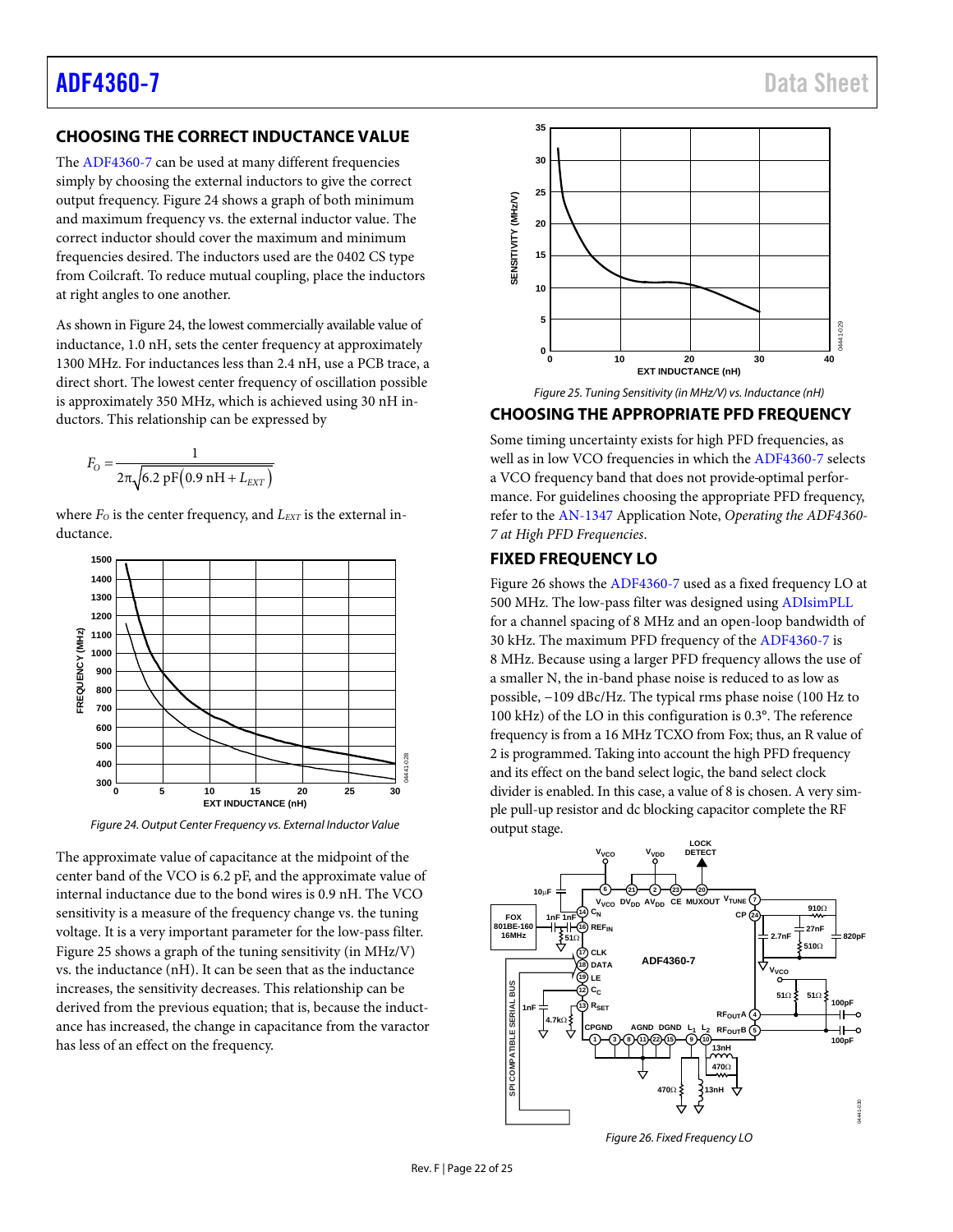# <span id="page-21-0"></span>**CHOOSING THE CORRECT INDUCTANCE VALUE**

The [ADF4360-7](http://www.analog.com/adf4360-7?doc=adf4360-7.pdf) can be used at many different frequencies simply by choosing the external inductors to give the correct output frequency. [Figure 24](#page-21-3) shows a graph of both minimum and maximum frequency vs. the external inductor value. The correct inductor should cover the maximum and minimum frequencies desired. The inductors used are the 0402 CS type from Coilcraft. To reduce mutual coupling, place the inductors at right angles to one another.

As shown i[n Figure 24,](#page-21-3) the lowest commercially available value of inductance, 1.0 nH, sets the center frequency at approximately 1300 MHz. For inductances less than 2.4 nH, use a PCB trace, a direct short. The lowest center frequency of oscillation possible is approximately 350 MHz, which is achieved using 30 nH inductors. This relationship can be expressed by

$$
F_O = \frac{1}{2\pi\sqrt{6.2 \text{ pF}(0.9 \text{ nH} + L_{EXT})}}
$$

where  $F<sub>O</sub>$  is the center frequency, and  $L<sub>EXT</sub>$  is the external inductance.



<span id="page-21-3"></span>*Figure 24. Output Center Frequency vs. External Inductor Value*

The approximate value of capacitance at the midpoint of the center band of the VCO is 6.2 pF, and the approximate value of internal inductance due to the bond wires is 0.9 nH. The VCO sensitivity is a measure of the frequency change vs. the tuning voltage. It is a very important parameter for the low-pass filter. [Figure 25](#page-21-4) shows a graph of the tuning sensitivity (in MHz/V) vs. the inductance (nH). It can be seen that as the inductance increases, the sensitivity decreases. This relationship can be derived from the previous equation; that is, because the inductance has increased, the change in capacitance from the varactor has less of an effect on the frequency.



*Figure 25. Tuning Sensitivity (in MHz/V) vs. Inductance (nH)*

### <span id="page-21-4"></span><span id="page-21-1"></span>**CHOOSING THE APPROPRIATE PFD FREQUENCY**

Some timing uncertainty exists for high PFD frequencies, as well as in low VCO frequencies in which the [ADF4360-7](http://www.analog.com/adf4360-7?doc=adf4360-7.pdf) selects a VCO frequency band that does not provide optimal performance. For guidelines choosing the appropriate PFD frequency, refer to the [AN-1347](http://www.analog.com/media/en/technical-documentation/application-notes/AN-1347.pdf?doc=ADF4360-7) Application Note, *Operating the ADF4360- 7 at High PFD Frequencies*.

### <span id="page-21-2"></span>**FIXED FREQUENCY LO**

[Figure 26](#page-21-5) shows th[e ADF4360-7](http://www.analog.com/adf4360-7?doc=adf4360-7.pdf) used as a fixed frequency LO at 500 MHz. The low-pass filter was designed usin[g ADIsimPLL](http://www.analog.com/ADIsimPLL?doc=ADF4360-7.pdf) for a channel spacing of 8 MHz and an open-loop bandwidth of 30 kHz. The maximum PFD frequency of th[e ADF4360-7](http://www.analog.com/adf4360-7?doc=adf4360-7.pdf) is 8 MHz. Because using a larger PFD frequency allows the use of a smaller N, the in-band phase noise is reduced to as low as possible, −109 dBc/Hz. The typical rms phase noise (100 Hz to 100 kHz) of the LO in this configuration is 0.3°. The reference frequency is from a 16 MHz TCXO from Fox; thus, an R value of 2 is programmed. Taking into account the high PFD frequency and its effect on the band select logic, the band select clock divider is enabled. In this case, a value of 8 is chosen. A very simple pull-up resistor and dc blocking capacitor complete the RF output stage.



<span id="page-21-5"></span>*Figure 26. Fixed Frequency LO*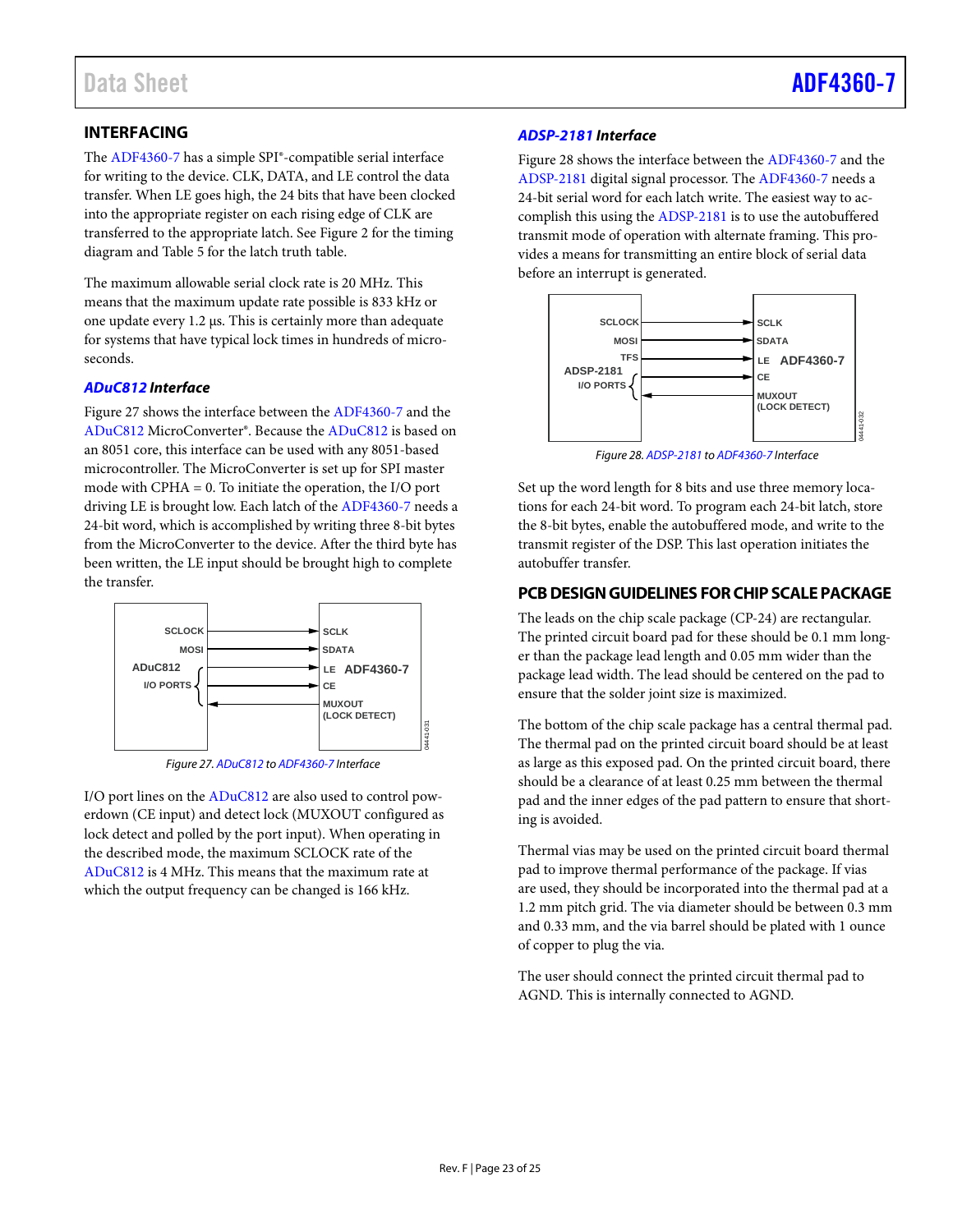# <span id="page-22-0"></span>**INTERFACING**

The [ADF4360-7](http://www.analog.com/adf4360-7?doc=adf4360-7.pdf) has a simple SPI®-compatible serial interface for writing to the device. CLK, DATA, and LE control the data transfer. When LE goes high, the 24 bits that have been clocked into the appropriate register on each rising edge of CLK are transferred to the appropriate latch. Se[e Figure 2](#page-4-1) for the timing diagram and [Table 5](#page-10-4) for the latch truth table.

The maximum allowable serial clock rate is 20 MHz. This means that the maximum update rate possible is 833 kHz or one update every 1.2 µs. This is certainly more than adequate for systems that have typical lock times in hundreds of microseconds.

### *[ADuC812](http://www.analog.com/aduc812?doc=adf4360-7.pdf) Interface*

[Figure 27](#page-22-2) shows the interface between th[e ADF4360-7](http://www.analog.com/adf4360-7?doc=adf4360-7.pdf) and the [ADuC812](http://www.analog.com/aduc812?doc=adf4360-7.pdf) MicroConverter®. Because th[e ADuC812](http://www.analog.com/aduc812?doc=adf4360-7.pdf) is based on an 8051 core, this interface can be used with any 8051-based microcontroller. The MicroConverter is set up for SPI master mode with CPHA = 0. To initiate the operation, the I/O port driving LE is brought low. Each latch of th[e ADF4360-7](http://www.analog.com/adf4360-7?doc=adf4360-7.pdf) needs a 24-bit word, which is accomplished by writing three 8-bit bytes from the MicroConverter to the device. After the third byte has been written, the LE input should be brought high to complete the transfer.



*Figure 27[. ADuC812](http://www.analog.com/aduc812?doc=adf4360-7.pdf) t[o ADF4360-7](http://www.analog.com/adf4360-7?doc=adf4360-7.pdf) Interface*

<span id="page-22-2"></span>I/O port lines on the [ADuC812](http://www.analog.com/aduc812?doc=adf4360-7.pdf) are also used to control powerdown (CE input) and detect lock (MUXOUT configured as lock detect and polled by the port input). When operating in the described mode, the maximum SCLOCK rate of the [ADuC812](http://www.analog.com/aduc812?doc=adf4360-7.pdf) is 4 MHz. This means that the maximum rate at which the output frequency can be changed is 166 kHz.

### *[ADSP-2181](http://www.analog.com/adsp-2181?doc=adf4360-7.pdf) Interface*

[Figure 28](#page-22-3) shows the interface between th[e ADF4360-7](http://www.analog.com/adf4360-7?doc=adf4360-7.pdf) and the [ADSP-2181](http://www.analog.com/adsp-2181?doc=adf4360-7.pdf) digital signal processor. Th[e ADF4360-7](http://www.analog.com/adf4360-7?doc=adf4360-7.pdf) needs a 24-bit serial word for each latch write. The easiest way to accomplish this using the [ADSP-2181](http://www.analog.com/adsp-2181?doc=adf4360-7.pdf) is to use the autobuffered transmit mode of operation with alternate framing. This provides a means for transmitting an entire block of serial data before an interrupt is generated.



*Figure 28[. ADSP-2181](http://www.analog.com/adsp-2181?doc=adf4360-7.pdf) t[o ADF4360-7](http://www.analog.com/adf4360-7?doc=adf4360-7.pdf) Interface*

<span id="page-22-3"></span>Set up the word length for 8 bits and use three memory locations for each 24-bit word. To program each 24-bit latch, store the 8-bit bytes, enable the autobuffered mode, and write to the transmit register of the DSP. This last operation initiates the autobuffer transfer.

## <span id="page-22-1"></span>**PCB DESIGN GUIDELINES FOR CHIP SCALE PACKAGE**

The leads on the chip scale package (CP-24) are rectangular. The printed circuit board pad for these should be 0.1 mm longer than the package lead length and 0.05 mm wider than the package lead width. The lead should be centered on the pad to ensure that the solder joint size is maximized.

The bottom of the chip scale package has a central thermal pad. The thermal pad on the printed circuit board should be at least as large as this exposed pad. On the printed circuit board, there should be a clearance of at least 0.25 mm between the thermal pad and the inner edges of the pad pattern to ensure that shorting is avoided.

Thermal vias may be used on the printed circuit board thermal pad to improve thermal performance of the package. If vias are used, they should be incorporated into the thermal pad at a 1.2 mm pitch grid. The via diameter should be between 0.3 mm and 0.33 mm, and the via barrel should be plated with 1 ounce of copper to plug the via.

The user should connect the printed circuit thermal pad to AGND. This is internally connected to AGND.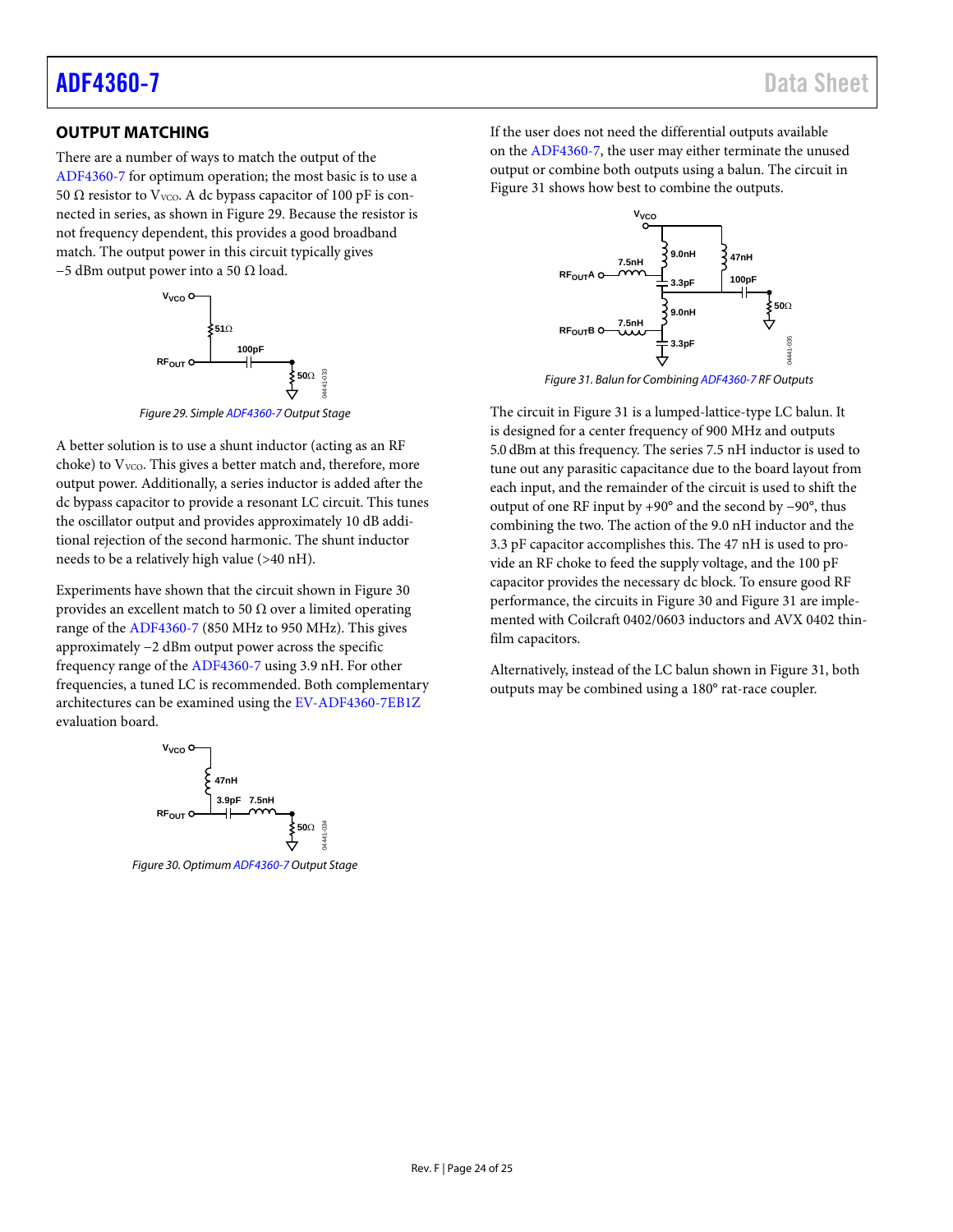# <span id="page-23-0"></span>**OUTPUT MATCHING**

There are a number of ways to match the output of the [ADF4360-7](http://www.analog.com/adf4360-7?doc=adf4360-7.pdf) for optimum operation; the most basic is to use a 50 Ω resistor to V<sub>VCO</sub>. A dc bypass capacitor of 100 pF is connected in series, as shown i[n Figure 29.](#page-23-1) Because the resistor is not frequency dependent, this provides a good broadband match. The output power in this circuit typically gives  $-5$  dBm output power into a 50  $\Omega$  load.



*Figure 29. Simpl[e ADF4360-7](http://www.analog.com/adf4360-7?doc=adf4360-7.pdf) Output Stage*

<span id="page-23-1"></span>A better solution is to use a shunt inductor (acting as an RF choke) to  $V<sub>VCO</sub>$ . This gives a better match and, therefore, more output power. Additionally, a series inductor is added after the dc bypass capacitor to provide a resonant LC circuit. This tunes the oscillator output and provides approximately 10 dB additional rejection of the second harmonic. The shunt inductor needs to be a relatively high value (>40 nH).

Experiments have shown that the circuit shown in [Figure 30](#page-23-2) provides an excellent match to 50  $\Omega$  over a limited operating range of the [ADF4360-7](http://www.analog.com/adf4360-7?doc=adf4360-7.pdf) (850 MHz to 950 MHz). This gives approximately −2 dBm output power across the specific frequency range of the [ADF4360-7](http://www.analog.com/adf4360-7?doc=adf4360-7.pdf) using 3.9 nH. For other frequencies, a tuned LC is recommended. Both complementary architectures can be examined using th[e EV-ADF4360-7EB1Z](http://www.analog.com/adf4360-7?doc=adf4360-7.pdf) evaluation board.



<span id="page-23-2"></span>*Figure 30. Optimu[m ADF4360-7O](http://www.analog.com/adf4360-7?doc=adf4360-7.pdf)utput Stage* 

If the user does not need the differential outputs available on the [ADF4360-7,](http://www.analog.com/adf4360-7?doc=adf4360-7.pdf) the user may either terminate the unused output or combine both outputs using a balun. The circuit in [Figure 31](#page-23-3) shows how best to combine the outputs.



*Figure 31. Balun for Combinin[g ADF4360-7](http://www.analog.com/adf4360-7?doc=adf4360-7.pdf) RF Outputs*

<span id="page-23-3"></span>The circuit i[n Figure 31](#page-23-3) is a lumped-lattice-type LC balun. It is designed for a center frequency of 900 MHz and outputs 5.0 dBm at this frequency. The series 7.5 nH inductor is used to tune out any parasitic capacitance due to the board layout from each input, and the remainder of the circuit is used to shift the output of one RF input by +90° and the second by −90°, thus combining the two. The action of the 9.0 nH inductor and the 3.3 pF capacitor accomplishes this. The 47 nH is used to provide an RF choke to feed the supply voltage, and the 100 pF capacitor provides the necessary dc block. To ensure good RF performance, the circuits in [Figure 30](#page-23-2) an[d Figure 31](#page-23-3) are implemented with Coilcraft 0402/0603 inductors and AVX 0402 thinfilm capacitors.

Alternatively, instead of the LC balun shown in [Figure 31,](#page-23-3) both outputs may be combined using a 180° rat-race coupler.